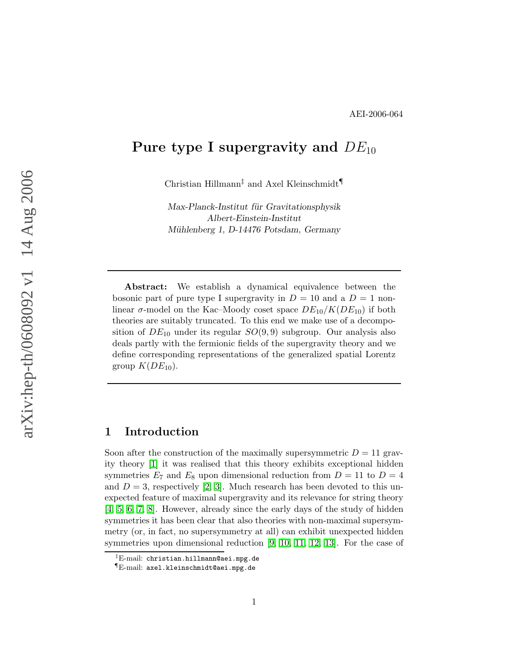# Pure type I supergravity and  $DE_{10}$

Christian Hillmann‡ and Axel Kleinschmidt¶

Max-Planck-Institut für Gravitationsphysik Albert-Einstein-Institut Mühlenberg 1, D-14476 Potsdam, Germany

Abstract: We establish a dynamical equivalence between the bosonic part of pure type I supergravity in  $D = 10$  and a  $D = 1$  nonlinear  $\sigma$ -model on the Kac–Moody coset space  $DE_{10}/K(DE_{10})$  if both theories are suitably truncated. To this end we make use of a decomposition of  $DE_{10}$  under its regular  $SO(9,9)$  subgroup. Our analysis also deals partly with the fermionic fields of the supergravity theory and we define corresponding representations of the generalized spatial Lorentz group  $K(DE_{10})$ .

# 1 Introduction

Soon after the construction of the maximally supersymmetric  $D = 11$  gravity theory [\[1\]](#page-24-0) it was realised that this theory exhibits exceptional hidden symmetries  $E_7$  and  $E_8$  upon dimensional reduction from  $D = 11$  to  $D = 4$ and  $D = 3$ , respectively [\[2,](#page-24-1) [3\]](#page-24-2). Much research has been devoted to this unexpected feature of maximal supergravity and its relevance for string theory [\[4,](#page-24-3) [5,](#page-24-4) [6,](#page-24-5) [7,](#page-24-6) [8\]](#page-24-7). However, already since the early days of the study of hidden symmetries it has been clear that also theories with non-maximal supersymmetry (or, in fact, no supersymmetry at all) can exhibit unexpected hidden symmetries upon dimensional reduction [\[9,](#page-24-8) [10,](#page-24-9) [11,](#page-24-10) [12,](#page-24-11) [13\]](#page-25-0). For the case of

 $^{\ddagger}$ E-mail: christian.hillmann@aei.mpg.de

<sup>¶</sup>E-mail: axel.kleinschmidt@aei.mpg.de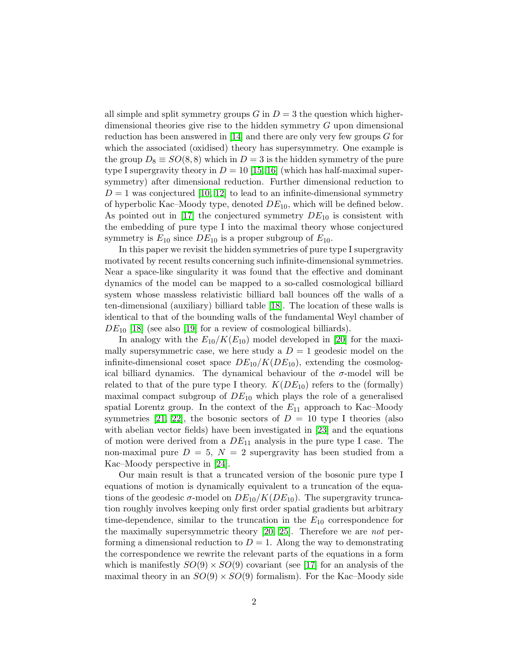all simple and split symmetry groups  $G$  in  $D = 3$  the question which higherdimensional theories give rise to the hidden symmetry G upon dimensional reduction has been answered in [\[14\]](#page-25-1) and there are only very few groups  $G$  for which the associated (oxidised) theory has supersymmetry. One example is the group  $D_8 \equiv SO(8,8)$  which in  $D=3$  is the hidden symmetry of the pure type I supergravity theory in  $D = 10$  [\[15,](#page-25-2) [16\]](#page-25-3) (which has half-maximal supersymmetry) after dimensional reduction. Further dimensional reduction to  $D = 1$  was conjectured [\[10,](#page-24-9) [12\]](#page-24-11) to lead to an infinite-dimensional symmetry of hyperbolic Kac–Moody type, denoted  $DE_{10}$ , which will be defined below. As pointed out in [\[17\]](#page-25-4) the conjectured symmetry  $DE_{10}$  is consistent with the embedding of pure type I into the maximal theory whose conjectured symmetry is  $E_{10}$  since  $DE_{10}$  is a proper subgroup of  $E_{10}$ .

In this paper we revisit the hidden symmetries of pure type I supergravity motivated by recent results concerning such infinite-dimensional symmetries. Near a space-like singularity it was found that the effective and dominant dynamics of the model can be mapped to a so-called cosmological billiard system whose massless relativistic billiard ball bounces off the walls of a ten-dimensional (auxiliary) billiard table [\[18\]](#page-25-5). The location of these walls is identical to that of the bounding walls of the fundamental Weyl chamber of  $DE_{10}$  [\[18\]](#page-25-5) (see also [\[19\]](#page-25-6) for a review of cosmological billiards).

In analogy with the  $E_{10}/K(E_{10})$  model developed in [\[20\]](#page-25-7) for the maximally supersymmetric case, we here study a  $D = 1$  geodesic model on the infinite-dimensional coset space  $DE_{10}/K(DE_{10})$ , extending the cosmological billiard dynamics. The dynamical behaviour of the  $\sigma$ -model will be related to that of the pure type I theory.  $K(DE_{10})$  refers to the (formally) maximal compact subgroup of  $DE_{10}$  which plays the role of a generalised spatial Lorentz group. In the context of the  $E_{11}$  approach to Kac–Moody symmetries [\[21,](#page-25-8) [22\]](#page-25-9), the bosonic sectors of  $D = 10$  type I theories (also with abelian vector fields) have been investigated in [\[23\]](#page-25-10) and the equations of motion were derived from a  $DE_{11}$  analysis in the pure type I case. The non-maximal pure  $D = 5$ ,  $N = 2$  supergravity has been studied from a Kac–Moody perspective in [\[24\]](#page-25-11).

Our main result is that a truncated version of the bosonic pure type I equations of motion is dynamically equivalent to a truncation of the equations of the geodesic  $\sigma$ -model on  $DE_{10}/K(DE_{10})$ . The supergravity truncation roughly involves keeping only first order spatial gradients but arbitrary time-dependence, similar to the truncation in the  $E_{10}$  correspondence for the maximally supersymmetric theory  $[20, 25]$  $[20, 25]$ . Therefore we are *not* performing a dimensional reduction to  $D = 1$ . Along the way to demonstrating the correspondence we rewrite the relevant parts of the equations in a form which is manifestly  $SO(9) \times SO(9)$  covariant (see [\[17\]](#page-25-4) for an analysis of the maximal theory in an  $SO(9) \times SO(9)$  formalism). For the Kac–Moody side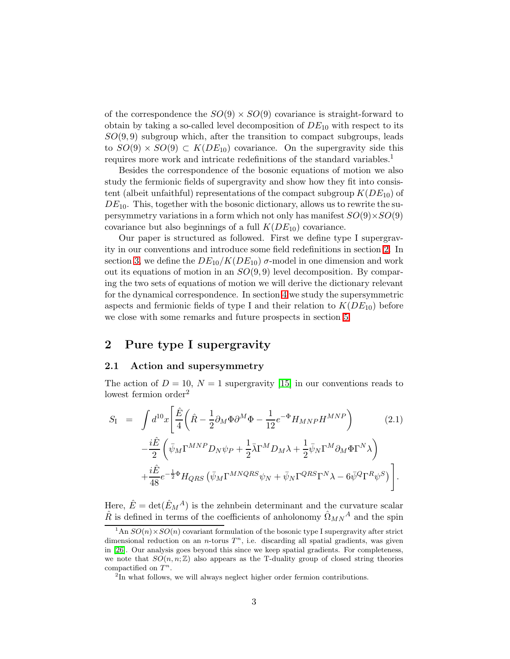of the correspondence the  $SO(9) \times SO(9)$  covariance is straight-forward to obtain by taking a so-called level decomposition of  $DE_{10}$  with respect to its  $SO(9,9)$  subgroup which, after the transition to compact subgroups, leads to  $SO(9) \times SO(9) \subset K(DE_{10})$  covariance. On the supergravity side this requires more work and intricate redefinitions of the standard variables.<sup>1</sup>

Besides the correspondence of the bosonic equations of motion we also study the fermionic fields of supergravity and show how they fit into consistent (albeit unfaithful) representations of the compact subgroup  $K(DE_{10})$  of  $DE_{10}$ . This, together with the bosonic dictionary, allows us to rewrite the supersymmetry variations in a form which not only has manifest  $SO(9) \times SO(9)$ covariance but also beginnings of a full  $K(DE_{10})$  covariance.

Our paper is structured as followed. First we define type I supergravity in our conventions and introduce some field redefinitions in section [2.](#page-2-0) In section [3,](#page-8-0) we define the  $DE_{10}/K(DE_{10})$   $\sigma$ -model in one dimension and work out its equations of motion in an  $SO(9,9)$  level decomposition. By comparing the two sets of equations of motion we will derive the dictionary relevant for the dynamical correspondence. In section [4](#page-15-0) we study the supersymmetric aspects and fermionic fields of type I and their relation to  $K(DE_{10})$  before we close with some remarks and future prospects in section [5.](#page-21-0)

# <span id="page-2-0"></span>2 Pure type I supergravity

#### 2.1 Action and supersymmetry

The action of  $D = 10$ ,  $N = 1$  supergravity [\[15\]](#page-25-2) in our conventions reads to lowest fermion order<sup>2</sup>

<span id="page-2-1"></span>
$$
S_{\rm I} = \int d^{10}x \left[ \frac{\hat{E}}{4} \left( \hat{R} - \frac{1}{2} \partial_M \Phi \partial^M \Phi - \frac{1}{12} e^{-\Phi} H_{MNP} H^{MNP} \right) \right] \qquad (2.1)
$$

$$
- \frac{i \hat{E}}{2} \left( \bar{\psi}_M \Gamma^{MNP} D_N \psi_P + \frac{1}{2} \bar{\lambda} \Gamma^M D_M \lambda + \frac{1}{2} \bar{\psi}_N \Gamma^M \partial_M \Phi \Gamma^N \lambda \right)
$$

$$
+ \frac{i \hat{E}}{48} e^{-\frac{1}{2} \Phi} H_{QRS} \left( \bar{\psi}_M \Gamma^{MNQRS} \psi_N + \bar{\psi}_N \Gamma^{QRS} \Gamma^N \lambda - 6 \bar{\psi}^Q \Gamma^R \psi^S \right).
$$

Here,  $\hat{E} = det(\hat{E}_M^A)$  is the zehnbein determinant and the curvature scalar  $\hat{R}$  is defined in terms of the coefficients of anholonomy  $\hat{\Omega}_{MN}{}^A$  and the spin

<sup>&</sup>lt;sup>1</sup>An  $SO(n) \times SO(n)$  covariant formulation of the bosonic type I supergravity after strict dimensional reduction on an *n*-torus  $T<sup>n</sup>$ , i.e. discarding all spatial gradients, was given in [\[26\]](#page-26-0). Our analysis goes beyond this since we keep spatial gradients. For completeness, we note that  $SO(n, n; \mathbb{Z})$  also appears as the T-duality group of closed string theories compactified on  $T^n$ .

<sup>&</sup>lt;sup>2</sup>In what follows, we will always neglect higher order fermion contributions.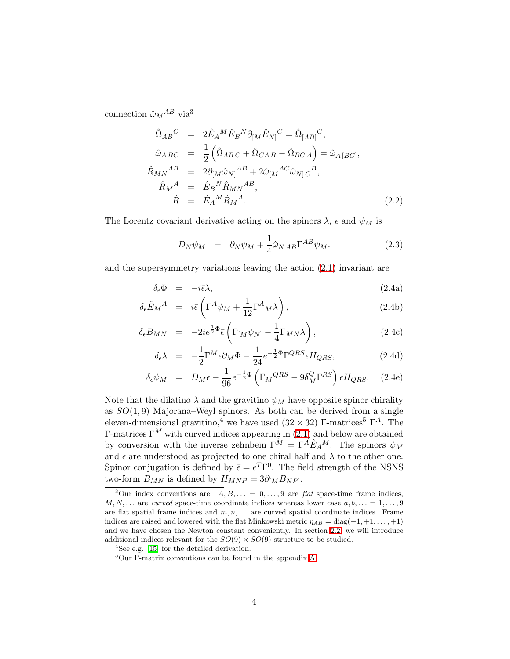<span id="page-3-0"></span>connection  $\hat{\omega}_M{}^{AB}$  via<sup>3</sup>

$$
\hat{\Omega}_{AB}^C = 2\hat{E}_A{}^M \hat{E}_B{}^N \partial_{[M} \hat{E}_{N]}^C = \hat{\Omega}_{[AB]}^C,
$$
\n
$$
\hat{\omega}_{ABC} = \frac{1}{2} (\hat{\Omega}_{ABC} + \hat{\Omega}_{CAB} - \hat{\Omega}_{BCA}) = \hat{\omega}_{A[BC]},
$$
\n
$$
\hat{R}_{MN}^{AB} = 2\partial_{[M} \hat{\omega}_{N]}{}^{AB} + 2\hat{\omega}_{[M}{}^{AC} \hat{\omega}_{N]}{}^{B},
$$
\n
$$
\hat{R}_M{}^A = \hat{E}_B{}^N \hat{R}_{MN}{}^{AB},
$$
\n
$$
\hat{R} = \hat{E}_A{}^M \hat{R}_M{}^A.
$$
\n(2.2)

The Lorentz covariant derivative acting on the spinors  $\lambda$ ,  $\epsilon$  and  $\psi_M$  is

<span id="page-3-1"></span>
$$
D_N \psi_M = \partial_N \psi_M + \frac{1}{4} \hat{\omega}_{NAB} \Gamma^{AB} \psi_M. \tag{2.3}
$$

<span id="page-3-2"></span>and the supersymmetry variations leaving the action [\(2.1\)](#page-2-1) invariant are

$$
\delta_{\epsilon} \Phi = -i\bar{\epsilon}\lambda, \tag{2.4a}
$$

$$
\delta_{\epsilon}\hat{E}_M{}^A = i\bar{\epsilon}\left(\Gamma^A\psi_M + \frac{1}{12}\Gamma^A{}_M\lambda\right),\tag{2.4b}
$$

$$
\delta_{\epsilon} B_{MN} = -2ie^{\frac{1}{2}\Phi}\bar{\epsilon} \left(\Gamma_{[M}\psi_{N]} - \frac{1}{4}\Gamma_{MN}\lambda\right), \qquad (2.4c)
$$

$$
\delta_{\epsilon}\lambda = -\frac{1}{2}\Gamma^{M}\epsilon\partial_{M}\Phi - \frac{1}{24}e^{-\frac{1}{2}\Phi}\Gamma^{QRS}\epsilon H_{QRS}, \qquad (2.4d)
$$

$$
\delta_{\epsilon}\psi_M = D_M \epsilon - \frac{1}{96}e^{-\frac{1}{2}\Phi} \left(\Gamma_M^{QRS} - 9\delta_M^Q \Gamma^{RS}\right) \epsilon H_{QRS}. \quad (2.4e)
$$

Note that the dilatino  $\lambda$  and the gravitino  $\psi_M$  have opposite spinor chirality as  $SO(1,9)$  Majorana–Weyl spinors. As both can be derived from a single eleven-dimensional gravitino,<sup>4</sup> we have used  $(32 \times 32)$  Γ-matrices<sup>5</sup> Γ<sup>*A*</sup>. The Γ-matrices Γ<sup>M</sup> with curved indices appearing in [\(2.1\)](#page-2-1) and below are obtained by conversion with the inverse zehnbein  $\Gamma^M = \Gamma^A \hat{E}_A{}^M$ . The spinors  $\psi_M$ and  $\epsilon$  are understood as projected to one chiral half and  $\lambda$  to the other one. Spinor conjugation is defined by  $\bar{\epsilon} = \epsilon^T \Gamma^0$ . The field strength of the NSNS two-form  $B_{MN}$  is defined by  $H_{MNP} = 3\partial_{[M}B_{NP]}$ .

<sup>&</sup>lt;sup>3</sup>Our index conventions are:  $A, B, \ldots = 0, \ldots, 9$  are flat space-time frame indices,  $M, N, \ldots$  are curved space-time coordinate indices whereas lower case  $a, b, \ldots = 1, \ldots, 9$ are flat spatial frame indices and  $m, n, \ldots$  are curved spatial coordinate indices. Frame indices are raised and lowered with the flat Minkowski metric  $\eta_{AB} = \text{diag}(-1, +1, \ldots, +1)$ and we have chosen the Newton constant conveniently. In section [2.2,](#page-4-0) we will introduce additional indices relevant for the  $SO(9) \times SO(9)$  structure to be studied.

<sup>4</sup>See e.g. [\[15\]](#page-25-2) for the detailed derivation.

<sup>5</sup>Our Γ-matrix conventions can be found in the appendix [A.](#page-23-0)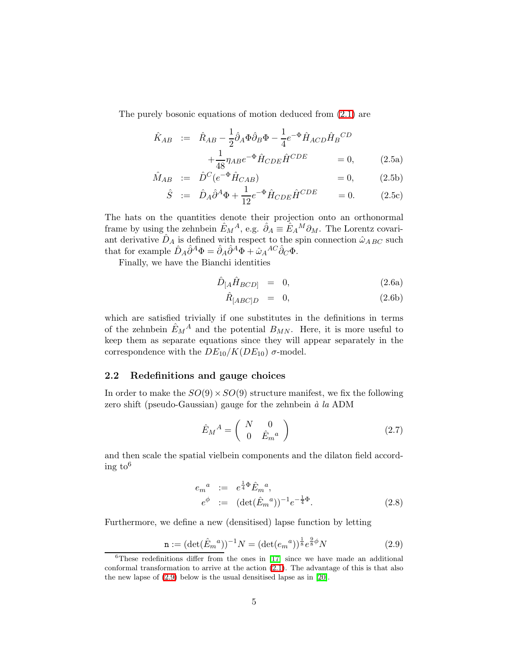<span id="page-4-3"></span>The purely bosonic equations of motion deduced from [\(2.1\)](#page-2-1) are

<span id="page-4-2"></span>
$$
\hat{K}_{AB} := \hat{R}_{AB} - \frac{1}{2}\hat{\partial}_A\Phi\hat{\partial}_B\Phi - \frac{1}{4}e^{-\Phi}\hat{H}_{ACD}\hat{H}_B^{CD} \n+ \frac{1}{48}\eta_{AB}e^{-\Phi}\hat{H}_{CDE}\hat{H}^{CDE} = 0,
$$
\n(2.5a)

$$
\hat{M}_{AB} := \hat{D}^C (e^{-\Phi} \hat{H}_{CAB}) = 0, \qquad (2.5b)
$$

$$
\hat{S} := \hat{D}_A \hat{\partial}^A \Phi + \frac{1}{12} e^{-\Phi} \hat{H}_{CDE} \hat{H}^{CDE} = 0.
$$
 (2.5c)

The hats on the quantities denote their projection onto an orthonormal frame by using the zehnbein  $\hat{E}_M{}^A$ , e.g.  $\hat{\partial}_A \equiv \hat{E}_A{}^M \partial_M$ . The Lorentz covariant derivative  $\hat{D}_A$  is defined with respect to the spin connection  $\hat{\omega}_{ABC}$  such that for example  $\hat{D}_A \hat{\partial}^A \Phi = \hat{\partial}_A \hat{\partial}^A \Phi + \hat{\omega}_A{}^{AC} \hat{\partial}_C \Phi$ .

<span id="page-4-4"></span>Finally, we have the Bianchi identities

$$
\hat{D}_{[A}\hat{H}_{BCD]} = 0, \qquad (2.6a)
$$

$$
\hat{R}_{[ABC]D} = 0, \qquad (2.6b)
$$

which are satisfied trivially if one substitutes in the definitions in terms of the zehnbein  $\hat{E}_M{}^A$  and the potential  $B_{MN}$ . Here, it is more useful to keep them as separate equations since they will appear separately in the correspondence with the  $DE_{10}/K(DE_{10})$   $\sigma$ -model.

### <span id="page-4-0"></span>2.2 Redefinitions and gauge choices

In order to make the  $SO(9) \times SO(9)$  structure manifest, we fix the following zero shift (pseudo-Gaussian) gauge for the zehnbein  $\dot{a}$  la ADM

$$
\hat{E}_M^A = \begin{pmatrix} N & 0\\ 0 & \hat{E}_m^a \end{pmatrix} \tag{2.7}
$$

<span id="page-4-5"></span>and then scale the spatial vielbein components and the dilaton field according  $to^6$ 

$$
e_m^a := e^{\frac{1}{4}\Phi} \hat{E}_m{}^a,
$$
  
\n
$$
e^{\phi} := (\det(\hat{E}_m{}^a))^{-1} e^{-\frac{1}{4}\Phi}.
$$
\n(2.8)

Furthermore, we define a new (densitised) lapse function by letting

$$
\mathbf{n} := (\det(\hat{E}_m{}^a))^{-1} N = (\det(e_m{}^a))^{\frac{1}{8}} e^{\frac{9}{8}\phi} N \tag{2.9}
$$

<span id="page-4-1"></span> ${}^{6}$ These redefinitions differ from the ones in [\[17\]](#page-25-4) since we have made an additional conformal transformation to arrive at the action [\(2.1\)](#page-2-1). The advantage of this is that also the new lapse of [\(2.9\)](#page-4-1) below is the usual densitised lapse as in [\[20\]](#page-25-7).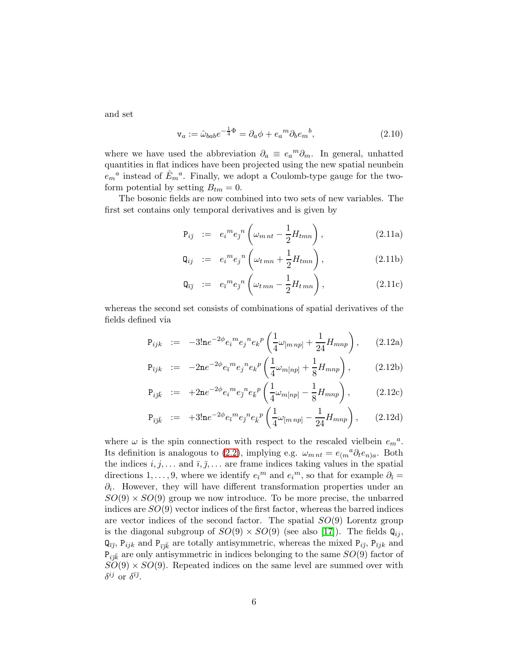and set

$$
\mathbf{v}_a := \hat{\omega}_{bab} e^{-\frac{1}{4}\Phi} = \partial_a \phi + e_a{}^m \partial_b e_m{}^b,\tag{2.10}
$$

where we have used the abbreviation  $\partial_a \equiv e_a{}^m \partial_m$ . In general, unhatted quantities in flat indices have been projected using the new spatial neunbein  $e_m{}^a$  instead of  $\hat{E}_m{}^a$ . Finally, we adopt a Coulomb-type gauge for the twoform potential by setting  $B_{tm} = 0$ .

The bosonic fields are now combined into two sets of new variables. The first set contains only temporal derivatives and is given by

<span id="page-5-0"></span>
$$
\mathbf{P}_{i\bar{j}} := e_i^m e_{\bar{j}}^n \left( \omega_{mnt} - \frac{1}{2} H_{tmn} \right), \qquad (2.11a)
$$

$$
\mathbf{Q}_{ij} := e_i^m e_j^{\,n} \left( \omega_{t\,mn} + \frac{1}{2} H_{tmn} \right), \tag{2.11b}
$$

$$
\mathbf{Q}_{\bar{i}\bar{j}} := e_{\bar{i}}{}^{m} e_{\bar{j}}{}^{n} \left( \omega_{t\,mn} - \frac{1}{2} H_{t\,mn} \right), \qquad (2.11c)
$$

<span id="page-5-1"></span>whereas the second set consists of combinations of spatial derivatives of the fields defined via

$$
P_{ijk} := -3! n e^{-2\phi} e_i{}^m e_j{}^n e_k{}^p \left(\frac{1}{4}\omega_{[mnp]} + \frac{1}{24}H_{mnp}\right), \qquad (2.12a)
$$

$$
P_{\bar{\imath}jk} := -2ne^{-2\phi}e_{\bar{\imath}}{}^me_j{}^ne_k{}^p\left(\frac{1}{4}\omega_{m[np]} + \frac{1}{8}H_{mnp}\right), \qquad (2.12b)
$$

$$
\mathbf{P}_{i\bar{j}\bar{k}} := +2\mathbf{n}e^{-2\phi}e_i{}^m e_{\bar{j}}{}^n e_{\bar{k}}{}^p \left(\frac{1}{4}\omega_{m[np]} - \frac{1}{8}H_{mnp}\right), \quad (2.12c)
$$

$$
P_{\bar{\imath}\bar{\jmath}\bar{k}} := +3! n e^{-2\phi} e_{\bar{\imath}}{}^{m} e_{\bar{\jmath}}{}^{n} e_{\bar{k}}{}^{p} \left( \frac{1}{4} \omega_{[m \, np]} - \frac{1}{24} H_{mnp} \right), \qquad (2.12d)
$$

where  $\omega$  is the spin connection with respect to the rescaled vielbein  $e_m^a$ . Its definition is analogous to [\(2.2\)](#page-3-0), implying e.g.  $\omega_{mnt} = e_{(m}{}^a \partial_t e_{n)a}$ . Both the indices  $i, j, \ldots$  and  $\overline{i}, \overline{j}, \ldots$  are frame indices taking values in the spatial directions 1,..., 9, where we identify  $e_i^m$  and  $e_i^m$ , so that for example  $\partial_i$  =  $\partial_i$ . However, they will have different transformation properties under an  $SO(9) \times SO(9)$  group we now introduce. To be more precise, the unbarred indices are  $SO(9)$  vector indices of the first factor, whereas the barred indices are vector indices of the second factor. The spatial  $SO(9)$  Lorentz group is the diagonal subgroup of  $SO(9) \times SO(9)$  (see also [\[17\]](#page-25-4)). The fields  $\mathbf{Q}_{ij}$ ,  $\mathbf{Q}_{\bar{i}\bar{j}}$ ,  $\mathbf{P}_{ijk}$  and  $\mathbf{P}_{\bar{i}\bar{j}\bar{k}}$  are totally antisymmetric, whereas the mixed  $\mathbf{P}_{i\bar{j}}$ ,  $\mathbf{P}_{\bar{i}jk}$  and  $P_{i\bar{\jmath}\bar{k}}$  are only antisymmetric in indices belonging to the same  $SO(9)$  factor of  $SO(9) \times SO(9)$ . Repeated indices on the same level are summed over with  $\delta^{ij}$  or  $\delta^{i\bar{\jmath}}$ .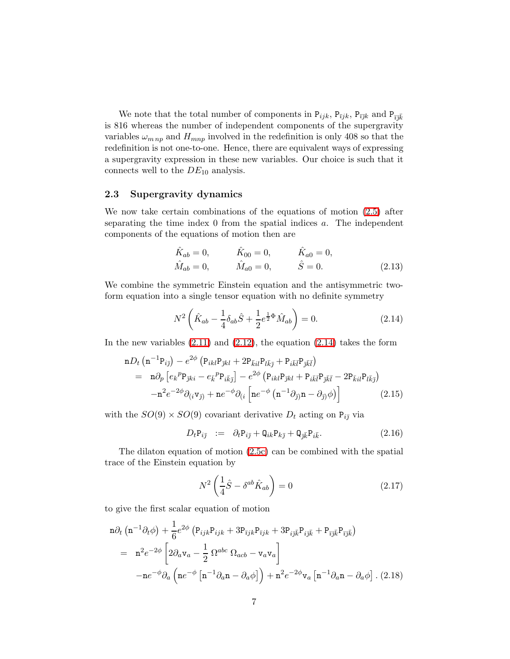We note that the total number of components in  $P_{ijk}$ ,  $P_{\bar{i}jk}$ ,  $P_{\bar{i}jk}$  and  $P_{\bar{i}k}$ is 816 whereas the number of independent components of the supergravity variables  $\omega_{mnp}$  and  $H_{mnp}$  involved in the redefinition is only 408 so that the redefinition is not one-to-one. Hence, there are equivalent ways of expressing a supergravity expression in these new variables. Our choice is such that it connects well to the  $DE_{10}$  analysis.

### 2.3 Supergravity dynamics

We now take certain combinations of the equations of motion [\(2.5\)](#page-4-2) after separating the time index 0 from the spatial indices a. The independent components of the equations of motion then are

$$
\hat{K}_{ab} = 0, \qquad \hat{K}_{00} = 0, \qquad \hat{K}_{a0} = 0, \n\hat{M}_{ab} = 0, \qquad \hat{M}_{a0} = 0, \qquad \hat{S} = 0.
$$
\n(2.13)

We combine the symmetric Einstein equation and the antisymmetric twoform equation into a single tensor equation with no definite symmetry

$$
N^2 \left( \hat{K}_{ab} - \frac{1}{4} \delta_{ab} \hat{S} + \frac{1}{2} e^{\frac{1}{2} \Phi} \hat{M}_{ab} \right) = 0.
$$
 (2.14)

<span id="page-6-1"></span><span id="page-6-0"></span>In the new variables  $(2.11)$  and  $(2.12)$ , the equation  $(2.14)$  takes the form

$$
\mathbf{n}D_t\left(\mathbf{n}^{-1}\mathbf{P}_{i\bar{j}}\right) - e^{2\phi}\left(\mathbf{P}_{ikl}\mathbf{P}_{\bar{j}kl} + 2\mathbf{P}_{\bar{k}il}\mathbf{P}_{l\bar{k}\bar{j}} + \mathbf{P}_{i\bar{k}\bar{l}}\mathbf{P}_{\bar{j}\bar{k}\bar{l}}\right)
$$
\n
$$
= \mathbf{n}\partial_p\left[e_k{}^p\mathbf{P}_{\bar{j}ki} - e_k{}^p\mathbf{P}_{i\bar{k}\bar{j}}\right] - e^{2\phi}\left(\mathbf{P}_{ikl}\mathbf{P}_{\bar{j}kl} + \mathbf{P}_{i\bar{k}\bar{l}}\mathbf{P}_{\bar{j}\bar{k}\bar{l}} - 2\mathbf{P}_{\bar{k}il}\mathbf{P}_{l\bar{k}\bar{j}}\right)
$$
\n
$$
-\mathbf{n}^2e^{-2\phi}\partial_{(i}\mathbf{v}_{\bar{j}}) + \mathbf{n}e^{-\phi}\partial_{(i}\left[\mathbf{n}e^{-\phi}\left(\mathbf{n}^{-1}\partial_{\bar{j}}\right)\mathbf{n} - \partial_{\bar{j}}\phi\right)\right]
$$
\n(2.15)

<span id="page-6-2"></span>with the  $SO(9) \times SO(9)$  covariant derivative  $D_t$  acting on  $P_{i\bar{j}}$  via

$$
D_t P_{i\bar{j}} := \partial_t P_{i\bar{j}} + Q_{ik} P_{k\bar{j}} + Q_{\bar{j}\bar{k}} P_{i\bar{k}}.
$$
\n(2.16)

The dilaton equation of motion [\(2.5c\)](#page-4-3) can be combined with the spatial trace of the Einstein equation by

$$
N^2 \left(\frac{1}{4}\hat{S} - \delta^{ab}\hat{K}_{ab}\right) = 0\tag{2.17}
$$

<span id="page-6-3"></span>to give the first scalar equation of motion

$$
n\partial_t \left( n^{-1} \partial_t \phi \right) + \frac{1}{6} e^{2\phi} \left( P_{ijk} P_{ijk} + 3 P_{\bar{\imath}jk} P_{\bar{\imath}jk} + 3 P_{i\bar{\jmath}\bar{k}} P_{i\bar{\jmath}\bar{k}} + P_{\bar{\imath}\bar{\jmath}\bar{k}} P_{\bar{\imath}\bar{\jmath}\bar{k}} \right)
$$
  
= 
$$
n^2 e^{-2\phi} \left[ 2\partial_a v_a - \frac{1}{2} \Omega^{abc} \Omega_{acb} - v_a v_a \right]
$$

$$
-n e^{-\phi} \partial_a \left( n e^{-\phi} \left[ n^{-1} \partial_a n - \partial_a \phi \right] \right) + n^2 e^{-2\phi} v_a \left[ n^{-1} \partial_a n - \partial_a \phi \right].
$$
 (2.18)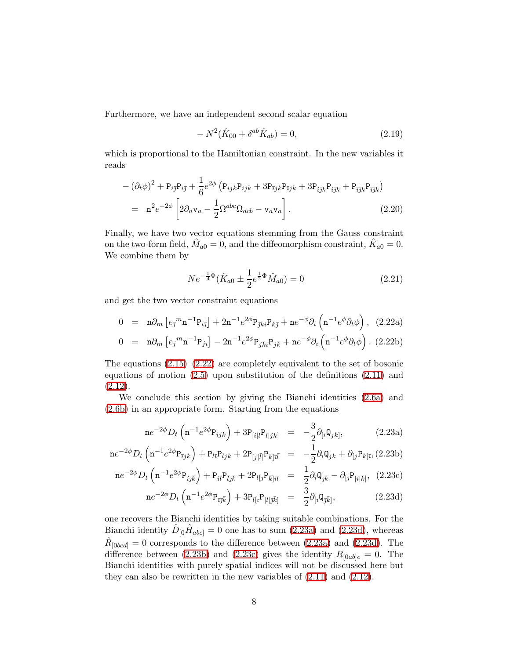Furthermore, we have an independent second scalar equation

$$
-N^2(\hat{K}_{00} + \delta^{ab}\hat{K}_{ab}) = 0,
$$
\n(2.19)

<span id="page-7-3"></span>which is proportional to the Hamiltonian constraint. In the new variables it reads

$$
-(\partial_t \phi)^2 + P_{i\bar{j}} P_{i\bar{j}} + \frac{1}{6} e^{2\phi} \left( P_{ijk} P_{ijk} + 3 P_{\bar{i}jk} P_{\bar{i}jk} + 3 P_{i\bar{j}\bar{k}} P_{i\bar{j}\bar{k}} + P_{\bar{i}\bar{j}\bar{k}} P_{\bar{i}\bar{j}\bar{k}} \right)
$$
  
= 
$$
\mathbf{n}^2 e^{-2\phi} \left[ 2\partial_a \mathbf{v}_a - \frac{1}{2} \Omega^{abc} \Omega_{acb} - \mathbf{v}_a \mathbf{v}_a \right].
$$
 (2.20)

Finally, we have two vector equations stemming from the Gauss constraint on the two-form field,  $\hat{M}_{a0} = 0$ , and the diffeomorphism constraint,  $\hat{K}_{a0} = 0$ . We combine them by

<span id="page-7-0"></span>
$$
Ne^{-\frac{1}{4}\Phi}(\hat{K}_{a0} \pm \frac{1}{2}e^{\frac{1}{2}\Phi}\hat{M}_{a0}) = 0
$$
\n(2.21)

<span id="page-7-4"></span>and get the two vector constraint equations

$$
0 = \mathbf{n}\partial_m \left[ e_j^m \mathbf{n}^{-1} \mathbf{P}_{i\bar{j}} \right] + 2\mathbf{n}^{-1} e^{2\phi} \mathbf{P}_{\bar{j}ki} \mathbf{P}_{k\bar{j}} + \mathbf{n} e^{-\phi} \partial_i \left( \mathbf{n}^{-1} e^{\phi} \partial_t \phi \right), \quad (2.22a)
$$

$$
0 = \mathbf{n}\partial_m \left[ e_j^m \mathbf{n}^{-1} \mathbf{P}_{j\bar{\imath}} \right] - 2\mathbf{n}^{-1} e^{2\phi} \mathbf{P}_{j\bar{k}\bar{\imath}} \mathbf{P}_{j\bar{k}} + \mathbf{n} e^{-\phi} \partial_{\bar{\imath}} \left( \mathbf{n}^{-1} e^{\phi} \partial_t \phi \right). (2.22b)
$$

The equations  $(2.15)-(2.22)$  $(2.15)-(2.22)$  are completely equivalent to the set of bosonic equations of motion [\(2.5\)](#page-4-2) upon substitution of the definitions [\(2.11\)](#page-5-0) and [\(2.12\)](#page-5-1).

We conclude this section by giving the Bianchi identities [\(2.6a\)](#page-4-4) and [\(2.6b\)](#page-4-4) in an appropriate form. Starting from the equations

<span id="page-7-2"></span>
$$
n e^{-2\phi} D_t \left( n^{-1} e^{2\phi} P_{ijk} \right) + 3 P_{[i|I} P_{\bar{l}|jk]} = -\frac{3}{2} \partial_{[i} Q_{jk]}, \qquad (2.23a)
$$

<span id="page-7-1"></span>
$$
n e^{-2\phi} D_t \left( n^{-1} e^{2\phi} P_{\bar{i}jk} \right) + P_{l\bar{i}} P_{ljk} + 2 P_{[j|\bar{l}|} P_{k]\bar{i}\bar{l}} = -\frac{1}{2} \partial_{\bar{i}} Q_{jk} + \partial_{[j} P_{k]\bar{i}}, (2.23b)
$$

$$
n e^{-2\phi} D_t \left( n^{-1} e^{2\phi} P_{i\bar{j}\bar{k}} \right) + P_{i\bar{l}} P_{\bar{l}j\bar{k}} + 2 P_{l[\bar{j}} P_{\bar{k}]} i l = \frac{1}{2} \partial_i Q_{j\bar{k}} - \partial_{[\bar{j}} P_{|i|\bar{k}]}, \tag{2.23c}
$$

$$
n e^{-2\phi} D_t \left( n^{-1} e^{2\phi} P_{\bar{\imath} \bar{\jmath} \bar{k}} \right) + 3 P_{l[\bar{\imath}} P_{|l|\bar{\jmath} \bar{k}]} = \frac{3}{2} \partial_{[\bar{\imath}} Q_{\bar{\jmath} \bar{k}]}, \qquad (2.23d)
$$

one recovers the Bianchi identities by taking suitable combinations. For the Bianchi identity  $\hat{D}_{[0} \hat{H}_{abc]} = 0$  one has to sum [\(2.23a\)](#page-7-1) and [\(2.23d\)](#page-7-1), whereas  $\hat{R}_{[0bcd]} = 0$  corresponds to the difference between [\(2.23a\)](#page-7-1) and [\(2.23d\)](#page-7-1). The difference between [\(2.23b\)](#page-7-1) and [\(2.23c\)](#page-7-1) gives the identity  $R_{[0ab]c} = 0$ . The Bianchi identities with purely spatial indices will not be discussed here but they can also be rewritten in the new variables of [\(2.11\)](#page-5-0) and [\(2.12\)](#page-5-1).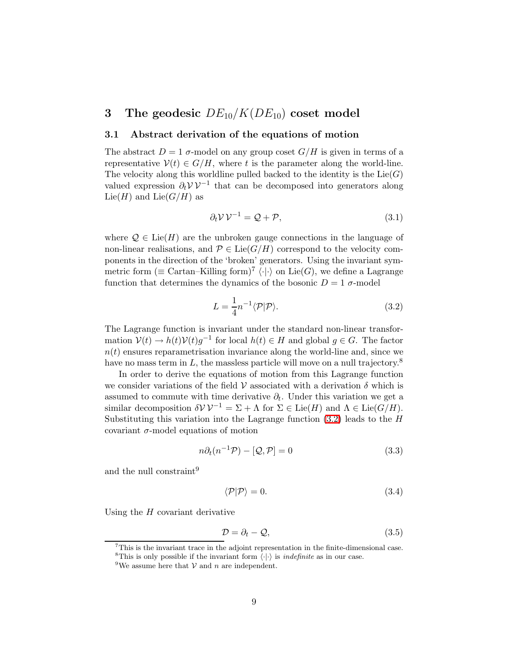# <span id="page-8-0"></span>3 The geodesic  $DE_{10}/K(DE_{10})$  coset model

#### <span id="page-8-4"></span>3.1 Abstract derivation of the equations of motion

The abstract  $D = 1$   $\sigma$ -model on any group coset  $G/H$  is given in terms of a representative  $V(t) \in G/H$ , where t is the parameter along the world-line. The velocity along this worldline pulled backed to the identity is the  $Lie(G)$ valued expression  $\partial_t \mathcal{V} \mathcal{V}^{-1}$  that can be decomposed into generators along Lie( $H$ ) and Lie( $G/H$ ) as

$$
\partial_t \mathcal{V} \mathcal{V}^{-1} = \mathcal{Q} + \mathcal{P},\tag{3.1}
$$

<span id="page-8-3"></span>where  $\mathcal{Q} \in \text{Lie}(H)$  are the unbroken gauge connections in the language of non-linear realisations, and  $\mathcal{P} \in \text{Lie}(G/H)$  correspond to the velocity components in the direction of the 'broken' generators. Using the invariant symmetric form ( $\equiv$  Cartan–Killing form)<sup>7</sup>  $\langle \cdot | \cdot \rangle$  on Lie(G), we define a Lagrange function that determines the dynamics of the bosonic  $D = 1$   $\sigma$ -model

$$
L = \frac{1}{4} n^{-1} \langle \mathcal{P} | \mathcal{P} \rangle.
$$
 (3.2)

<span id="page-8-1"></span>The Lagrange function is invariant under the standard non-linear transformation  $V(t) \to h(t)V(t)g^{-1}$  for local  $h(t) \in H$  and global  $g \in G$ . The factor  $n(t)$  ensures reparametrisation invariance along the world-line and, since we have no mass term in  $L$ , the massless particle will move on a null trajectory.<sup>8</sup>

In order to derive the equations of motion from this Lagrange function we consider variations of the field  $\mathcal V$  associated with a derivation  $\delta$  which is assumed to commute with time derivative  $\partial_t$ . Under this variation we get a similar decomposition  $\delta V V^{-1} = \Sigma + \Lambda$  for  $\Sigma \in \text{Lie}(H)$  and  $\Lambda \in \text{Lie}(G/H)$ . Substituting this variation into the Lagrange function  $(3.2)$  leads to the H covariant  $\sigma$ -model equations of motion

<span id="page-8-6"></span>
$$
n\partial_t(n^{-1}\mathcal{P}) - [\mathcal{Q}, \mathcal{P}] = 0 \tag{3.3}
$$

<span id="page-8-2"></span>and the null constraint<sup>9</sup>

$$
\langle \mathcal{P} | \mathcal{P} \rangle = 0. \tag{3.4}
$$

Using the  $H$  covariant derivative

$$
\mathcal{D} = \partial_t - \mathcal{Q},\tag{3.5}
$$

<span id="page-8-5"></span><sup>7</sup>This is the invariant trace in the adjoint representation in the finite-dimensional case. <sup>8</sup>This is only possible if the invariant form  $\langle \cdot | \cdot \rangle$  is *indefinite* as in our case.

<sup>&</sup>lt;sup>9</sup>We assume here that  $V$  and n are independent.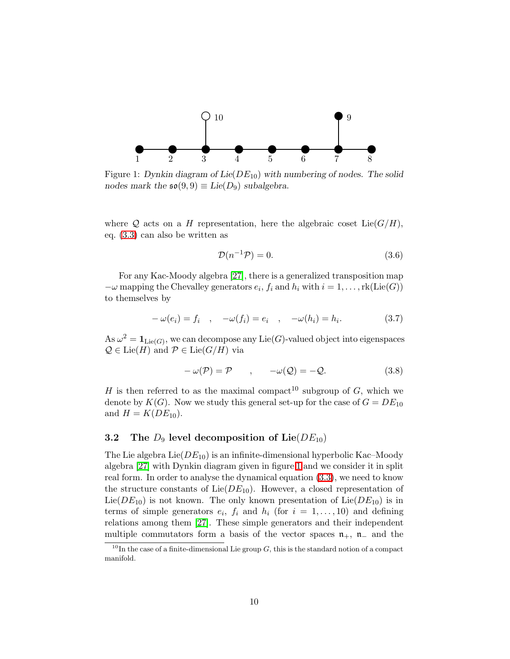

<span id="page-9-0"></span>Figure 1: Dynkin diagram of  $Lie(DE_{10})$  with numbering of nodes. The solid nodes mark the  $\mathfrak{so}(9,9) \equiv \text{Lie}(D_9)$  subalgebra.

where Q acts on a H representation, here the algebraic coset  $Lie(G/H)$ , eq. [\(3.3\)](#page-8-2) can also be written as

$$
\mathcal{D}(n^{-1}\mathcal{P}) = 0.\tag{3.6}
$$

For any Kac-Moody algebra [\[27\]](#page-26-1), there is a generalized transposition map  $-\omega$  mapping the Chevalley generators  $e_i$ ,  $f_i$  and  $h_i$  with  $i = 1, \ldots, \text{rk}(\text{Lie}(G))$ to themselves by

$$
-\omega(e_i) = f_i \quad , \quad -\omega(f_i) = e_i \quad , \quad -\omega(h_i) = h_i. \tag{3.7}
$$

As  $\omega^2 = \mathbf{1}_{\text{Lie}(G)}$ , we can decompose any  $\text{Lie}(G)$ -valued object into eigenspaces  $\mathcal{Q} \in \text{Lie}(H)$  and  $\mathcal{P} \in \text{Lie}(G/H)$  via

$$
-\omega(\mathcal{P}) = \mathcal{P} \qquad , \qquad -\omega(\mathcal{Q}) = -\mathcal{Q}. \tag{3.8}
$$

H is then referred to as the maximal compact<sup>10</sup> subgroup of G, which we denote by  $K(G)$ . Now we study this general set-up for the case of  $G = DE_{10}$ and  $H = K(DE_{10})$ .

### <span id="page-9-1"></span>3.2 The  $D_9$  level decomposition of Lie( $DE_{10}$ )

The Lie algebra  $Lie(DE_{10})$  is an infinite-dimensional hyperbolic Kac–Moody algebra [\[27\]](#page-26-1) with Dynkin diagram given in figure [1](#page-9-0) and we consider it in split real form. In order to analyse the dynamical equation [\(3.3\)](#page-8-2), we need to know the structure constants of  $Lie(DE_{10})$ . However, a closed representation of  $Lie(DE_{10})$  is not known. The only known presentation of  $Lie(DE_{10})$  is in terms of simple generators  $e_i$ ,  $f_i$  and  $h_i$  (for  $i = 1, \ldots, 10$ ) and defining relations among them [\[27\]](#page-26-1). These simple generators and their independent multiple commutators form a basis of the vector spaces  $\mathfrak{n}_+$ ,  $\mathfrak{n}_-$  and the

 $10$ In the case of a finite-dimensional Lie group  $G$ , this is the standard notion of a compact manifold.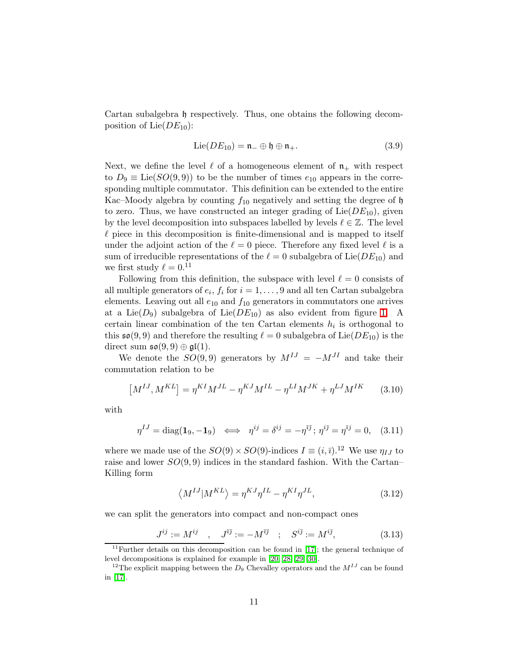Cartan subalgebra h respectively. Thus, one obtains the following decomposition of Lie $(DE_{10})$ :

$$
\text{Lie}(DE_{10}) = \mathfrak{n} \oplus \mathfrak{h} \oplus \mathfrak{n} \tag{3.9}
$$

Next, we define the level  $\ell$  of a homogeneous element of  $\mathfrak{n}_+$  with respect to  $D_9 \equiv \text{Lie}(SO(9,9))$  to be the number of times  $e_{10}$  appears in the corresponding multiple commutator. This definition can be extended to the entire Kac–Moody algebra by counting  $f_{10}$  negatively and setting the degree of  $\mathfrak h$ to zero. Thus, we have constructed an integer grading of  $Lie(DE_{10})$ , given by the level decomposition into subspaces labelled by levels  $\ell \in \mathbb{Z}$ . The level  $\ell$  piece in this decomposition is finite-dimensional and is mapped to itself under the adjoint action of the  $\ell = 0$  piece. Therefore any fixed level  $\ell$  is a sum of irreducible representations of the  $\ell = 0$  subalgebra of Lie( $DE_{10}$ ) and we first study  $\ell = 0.11$ 

Following from this definition, the subspace with level  $\ell = 0$  consists of all multiple generators of  $e_i$ ,  $f_i$  for  $i = 1, ..., 9$  and all ten Cartan subalgebra elements. Leaving out all  $e_{10}$  and  $f_{10}$  generators in commutators one arrives at a Lie( $D_9$ ) subalgebra of Lie( $DE_{10}$ ) as also evident from figure [1.](#page-9-0) A certain linear combination of the ten Cartan elements  $h_i$  is orthogonal to this  $\mathfrak{so}(9,9)$  and therefore the resulting  $\ell = 0$  subalgebra of Lie( $DE_{10}$ ) is the direct sum  $\mathfrak{so}(9,9) \oplus \mathfrak{gl}(1)$ .

We denote the  $SO(9,9)$  generators by  $M^{IJ} = -M^{JI}$  and take their commutation relation to be

$$
[M^{IJ}, M^{KL}] = \eta^{KI} M^{JL} - \eta^{KJ} M^{IL} - \eta^{LI} M^{JK} + \eta^{LJ} M^{IK}
$$
 (3.10)

with

$$
\eta^{IJ} = \text{diag}(\mathbf{1}_9, -\mathbf{1}_9) \iff \eta^{ij} = \delta^{ij} = -\eta^{\bar{i}\bar{j}}; \ \eta^{i\bar{j}} = \eta^{\bar{i}j} = 0, \tag{3.11}
$$

where we made use of the  $SO(9) \times SO(9)$ -indices  $I \equiv (i, \bar{i})$ .<sup>12</sup> We use  $\eta_{IJ}$  to raise and lower  $SO(9,9)$  indices in the standard fashion. With the Cartan– Killing form

$$
\langle M^{IJ} | M^{KL} \rangle = \eta^{KJ} \eta^{IL} - \eta^{KI} \eta^{JL}, \qquad (3.12)
$$

we can split the generators into compact and non-compact ones

$$
J^{ij} := M^{ij} \quad , \quad J^{\bar{\imath} \bar{\jmath}} := -M^{\bar{\imath} \bar{\jmath}} \quad ; \quad S^{i\bar{\jmath}} := M^{i\bar{\jmath}}, \tag{3.13}
$$

<span id="page-10-0"></span><sup>&</sup>lt;sup>11</sup>Further details on this decomposition can be found in  $[17]$ ; the general technique of level decompositions is explained for example in [\[20,](#page-25-7) [28,](#page-26-2) [29,](#page-26-3) [30\]](#page-26-4).

<sup>&</sup>lt;sup>12</sup>The explicit mapping between the  $D_9$  Chevalley operators and the  $M^{IJ}$  can be found in [\[17\]](#page-25-4).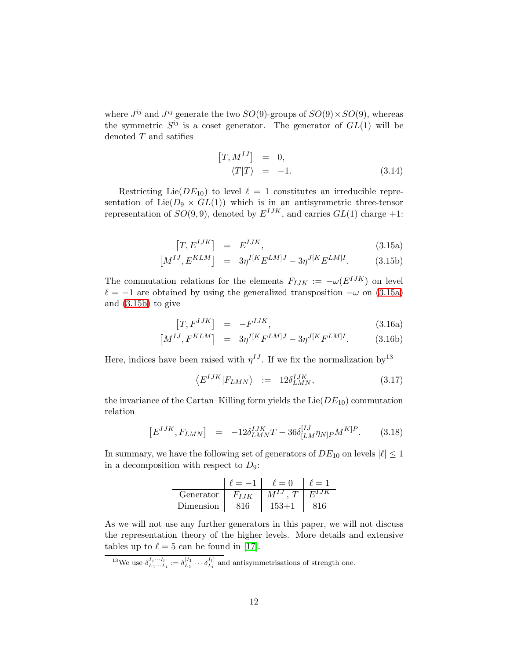where  $J^{ij}$  and  $J^{ij}$  generate the two  $SO(9)$ -groups of  $SO(9) \times SO(9)$ , whereas the symmetric  $S^{i\bar{j}}$  is a coset generator. The generator of  $GL(1)$  will be denoted  $T$  and satifies

$$
[T, M^{IJ}] = 0,
$$
  

$$
\langle T|T \rangle = -1.
$$
 (3.14)

Restricting Lie( $DE_{10}$ ) to level  $\ell = 1$  constitutes an irreducible representation of Lie( $D_9 \times GL(1)$ ) which is in an antisymmetric three-tensor representation of  $SO(9,9)$ , denoted by  $E^{IJK}$ , and carries  $GL(1)$  charge  $+1$ :

$$
[T, E^{IJK}] = E^{IJK}, \qquad (3.15a)
$$

$$
[M^{IJ}, E^{KLM}] = 3\eta^{I[K} E^{LM]J} - 3\eta^{J[K} E^{LM]I}.
$$
 (3.15b)

<span id="page-11-0"></span>The commutation relations for the elements  $F_{IJK} := -\omega(E^{IJK})$  on level  $\ell = -1$  are obtained by using the generalized transposition  $-\omega$  on [\(3.15a\)](#page-11-0) and [\(3.15b\)](#page-11-0) to give

$$
\left[T, F^{IJK}\right] = -F^{IJK},\tag{3.16a}
$$

$$
[M^{IJ}, F^{KLM}] = 3\eta^{I[K}F^{LM]J} - 3\eta^{J[K}F^{LM]I}.
$$
 (3.16b)

Here, indices have been raised with  $\eta^{IJ}$ . If we fix the normalization by<sup>13</sup>

$$
\left\langle E^{IJK}|F_{LMN}\right\rangle \ := \ 12\delta^{IJK}_{LMN},\tag{3.17}
$$

the invariance of the Cartan–Killing form yields the  $Lie(DE_{10})$  commutation relation

$$
[E^{IJK}, F_{LMN}] = -12\delta^{IJK}_{LMN}T - 36\delta^{[IJ}_{[LM}\eta_{N]P}M^{K]P}.
$$
 (3.18)

In summary, we have the following set of generators of  $DE_{10}$  on levels  $|\ell| \leq 1$ in a decomposition with respect to  $D_9$ :

|           | $' = -1$  | $\ell=0$             | $\ell = 1$ |
|-----------|-----------|----------------------|------------|
| Generator | $F_{IJK}$ | $M^{IJ}$ T $E^{IJK}$ |            |
| Dimension |           | $153 + 1$            |            |

As we will not use any further generators in this paper, we will not discuss the representation theory of the higher levels. More details and extensive tables up to  $\ell = 5$  can be found in [\[17\]](#page-25-4).

<sup>13</sup>We use  $\delta_{L_1...L_l}^{I_1...I_l} := \delta_{L_1}^{[I_1} \cdots \delta_{L_l}^{I_l]}$  and antisymmetrisations of strength one.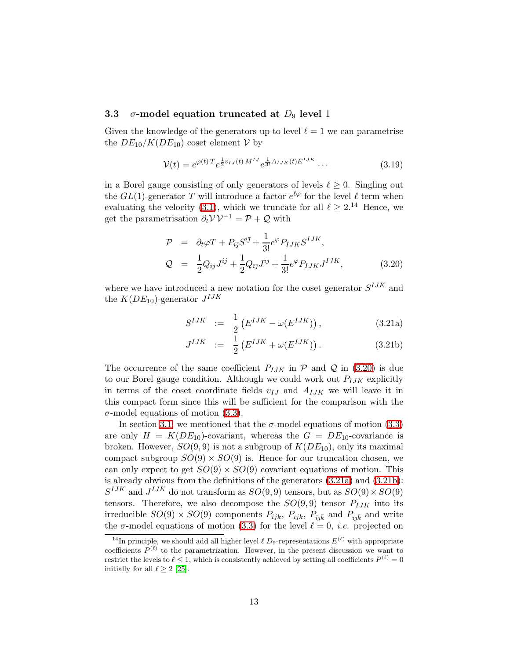#### 3.3  $\sigma$ -model equation truncated at  $D_9$  level 1

Given the knowledge of the generators up to level  $\ell = 1$  we can parametrise the  $DE_{10}/K(DE_{10})$  coset element  $V$  by

$$
\mathcal{V}(t) = e^{\varphi(t) T} e^{\frac{1}{2} v_{IJ}(t) M^{IJ}} e^{\frac{1}{3!} A_{IJK}(t) E^{IJK}} \dots \tag{3.19}
$$

in a Borel gauge consisting of only generators of levels  $\ell \geq 0$ . Singling out the  $GL(1)$ -generator T will introduce a factor  $e^{\ell \varphi}$  for the level  $\ell$  term when evaluating the velocity [\(3.1\)](#page-8-3), which we truncate for all  $\ell \geq 2^{14}$  Hence, we get the parametrisation  $\partial_t \mathcal{V} \mathcal{V}^{-1} = \mathcal{P} + \mathcal{Q}$  with

$$
\mathcal{P} = \partial_t \varphi T + P_{i\bar{j}} S^{i\bar{j}} + \frac{1}{3!} e^{\varphi} P_{IJK} S^{IJK},
$$
  
\n
$$
\mathcal{Q} = \frac{1}{2} Q_{ij} J^{ij} + \frac{1}{2} Q_{\bar{i}\bar{j}} J^{\bar{i}\bar{j}} + \frac{1}{3!} e^{\varphi} P_{IJK} J^{IJK},
$$
(3.20)

<span id="page-12-1"></span><span id="page-12-0"></span>where we have introduced a new notation for the coset generator  $S^{IJK}$  and the  $K(DE_{10})$ -generator  $J^{IJK}$ 

$$
S^{IJK} := \frac{1}{2} \left( E^{IJK} - \omega(E^{IJK}) \right), \tag{3.21a}
$$

$$
J^{IJK} := \frac{1}{2} \left( E^{IJK} + \omega (E^{IJK}) \right). \tag{3.21b}
$$

The occurrence of the same coefficient  $P_{IJK}$  in  $\mathcal P$  and  $\mathcal Q$  in [\(3.20\)](#page-12-0) is due to our Borel gauge condition. Although we could work out  $P_{IJK}$  explicitly in terms of the coset coordinate fields  $v_{IJ}$  and  $A_{IJK}$  we will leave it in this compact form since this will be sufficient for the comparison with the  $\sigma$ -model equations of motion [\(3.3\)](#page-8-2).

In section [3.1,](#page-8-4) we mentioned that the  $\sigma$ -model equations of motion [\(3.3\)](#page-8-2) are only  $H = K(DE_{10})$ -covariant, whereas the  $G = DE_{10}$ -covariance is broken. However,  $SO(9,9)$  is not a subgroup of  $K(DE_{10})$ , only its maximal compact subgroup  $SO(9) \times SO(9)$  is. Hence for our truncation chosen, we can only expect to get  $SO(9) \times SO(9)$  covariant equations of motion. This is already obvious from the definitions of the generators [\(3.21a\)](#page-12-1) and [\(3.21b\)](#page-12-1):  $S^{IJK}$  and  $J^{IJK}$  do not transform as  $SO(9,9)$  tensors, but as  $SO(9) \times SO(9)$ tensors. Therefore, we also decompose the  $SO(9,9)$  tensor  $P_{IJK}$  into its irreducible  $SO(9) \times SO(9)$  components  $P_{ijk}$ ,  $P_{ijk}$ ,  $P_{i\bar{j}\bar{k}}$  and  $P_{\bar{i}\bar{j}\bar{k}}$  and write the  $\sigma$ -model equations of motion [\(3.3\)](#page-8-2) for the level  $\ell = 0$ , *i.e.* projected on

<sup>&</sup>lt;sup>14</sup>In principle, we should add all higher level  $\ell$  D<sub>9</sub>-representations  $E^{(\ell)}$  with appropriate coefficients  $P^{(\ell)}$  to the parametrization. However, in the present discussion we want to restrict the levels to  $\ell \leq 1$ , which is consistently achieved by setting all coefficients  $P^{(\ell)} = 0$ initially for all  $\ell > 2$  [\[25\]](#page-25-12).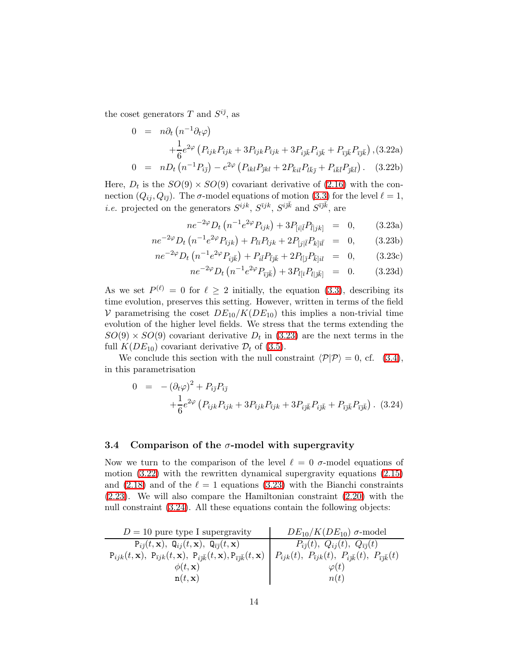<span id="page-13-4"></span>the coset generators T and  $S^{i\bar{\jmath}}$ , as

<span id="page-13-1"></span>
$$
0 = n\partial_t (n^{-1}\partial_t \varphi) + \frac{1}{6}e^{2\varphi} (P_{ijk}P_{ijk} + 3P_{ijk}P_{ijk} + 3P_{ij\bar{k}}P_{ij\bar{k}} + P_{\bar{i}j\bar{k}}P_{i\bar{j}\bar{k}}), (3.22a) 0 = nD_t (n^{-1}P_{i\bar{j}}) - e^{2\varphi} (P_{ikl}P_{\bar{j}kl} + 2P_{\bar{k}il}P_{l\bar{k}\bar{j}} + P_{i\bar{k}\bar{l}}P_{\bar{j}\bar{k}\bar{l}}).
$$
 (3.22b)

Here,  $D_t$  is the  $SO(9) \times SO(9)$  covariant derivative of  $(2.16)$  with the connection  $(Q_{ij}, Q_{\bar{i}j})$ . The  $\sigma$ -model equations of motion [\(3.3\)](#page-8-2) for the level  $\ell = 1$ , *i.e.* projected on the generators  $S^{ijk}$ ,  $S^{ijk}$ ,  $S^{ijk}$  and  $S^{i\bar{j}\bar{k}}$ , are

<span id="page-13-0"></span>
$$
ne^{-2\varphi}D_t\left(n^{-1}e^{2\varphi}P_{ijk}\right) + 3P_{[i|\bar{l}}P_{\bar{l}|jk]} = 0, \qquad (3.23a)
$$

$$
ne^{-2\varphi}D_t\left(n^{-1}e^{2\varphi}P_{\bar{i}jk}\right) + P_{\bar{i}i}P_{ljk} + 2P_{[j|\bar{l}}P_{k|\bar{l}\bar{l}} = 0, \qquad (3.23b)
$$

$$
ne^{-2\varphi}D_t\left(n^{-1}e^{2\varphi}P_{i\bar{j}\bar{k}}\right) + P_{i\bar{l}}P_{\bar{l}j\bar{k}} + 2P_{l[\bar{j}}P_{\bar{k}]}i\bar{l} = 0, \qquad (3.23c)
$$

$$
ne^{-2\varphi}D_t\left(n^{-1}e^{2\varphi}P_{\bar{i}\bar{j}\bar{k}}\right) + 3P_{l[\bar{i}}P_{l|\bar{j}\bar{k}]} = 0. \qquad (3.23d)
$$

As we set  $P^{(\ell)} = 0$  for  $\ell \geq 2$  initially, the equation [\(3.3\)](#page-8-2), describing its time evolution, preserves this setting. However, written in terms of the field V parametrising the coset  $DE_{10}/K(DE_{10})$  this implies a non-trivial time evolution of the higher level fields. We stress that the terms extending the  $SO(9) \times SO(9)$  covariant derivative  $D_t$  in [\(3.23\)](#page-13-0) are the next terms in the full  $K(DE_{10})$  covariant derivative  $\mathcal{D}_t$  of [\(3.5\)](#page-8-5).

<span id="page-13-2"></span>We conclude this section with the null constraint  $\langle \mathcal{P}|\mathcal{P}\rangle = 0$ , cf. [\(3.4\)](#page-8-6), in this parametrisation

$$
0 = -(\partial_t \varphi)^2 + P_{i\bar{j}} P_{i\bar{j}} + \frac{1}{6} e^{2\varphi} \left( P_{ijk} P_{ijk} + 3P_{\bar{i}jk} P_{i\bar{j}k} + 3P_{i\bar{j}\bar{k}} P_{i\bar{j}\bar{k}} + P_{\bar{i}\bar{j}\bar{k}} P_{i\bar{j}\bar{k}} \right).
$$
 (3.24)

#### <span id="page-13-3"></span>3.4 Comparison of the  $\sigma$ -model with supergravity

Now we turn to the comparison of the level  $\ell = 0$   $\sigma$ -model equations of motion [\(3.22\)](#page-13-1) with the rewritten dynamical supergravity equations [\(2.15\)](#page-6-1) and [\(2.18\)](#page-6-3) and of the  $\ell = 1$  equations [\(3.23\)](#page-13-0) with the Bianchi constraints [\(2.23\)](#page-7-2). We will also compare the Hamiltonian constraint [\(2.20\)](#page-7-3) with the null constraint [\(3.24\)](#page-13-2). All these equations contain the following objects:

| $D = 10$ pure type I supergravity                                                                                                                                                                                         | $DE_{10}/K(DE_{10})$ $\sigma$ -model                                          |
|---------------------------------------------------------------------------------------------------------------------------------------------------------------------------------------------------------------------------|-------------------------------------------------------------------------------|
| $P_{i\bar{\jmath}}(t,\mathbf{x}), \ \mathbf{Q}_{i\bar{\jmath}}(t,\mathbf{x}), \ \mathbf{Q}_{\bar{\imath}\bar{\jmath}}(t,\mathbf{x})$                                                                                      | $P_{i\bar{\jmath}}(t), Q_{i\bar{\jmath}}(t), Q_{\bar{\imath}\bar{\jmath}}(t)$ |
| $P_{ijk}(t, \mathbf{x}), P_{\bar{i}jk}(t, \mathbf{x}), P_{i\bar{j}\bar{k}}(t, \mathbf{x}), P_{\bar{i}\bar{j}\bar{k}}(t, \mathbf{x})   P_{ijk}(t), P_{\bar{i}jk}(t), P_{i\bar{j}\bar{k}}(t), P_{\bar{i}\bar{j}\bar{k}}(t)$ |                                                                               |
| $\phi(t, \mathbf{x})$                                                                                                                                                                                                     | $\varphi(t)$                                                                  |
| n(t, x)                                                                                                                                                                                                                   | n(t)                                                                          |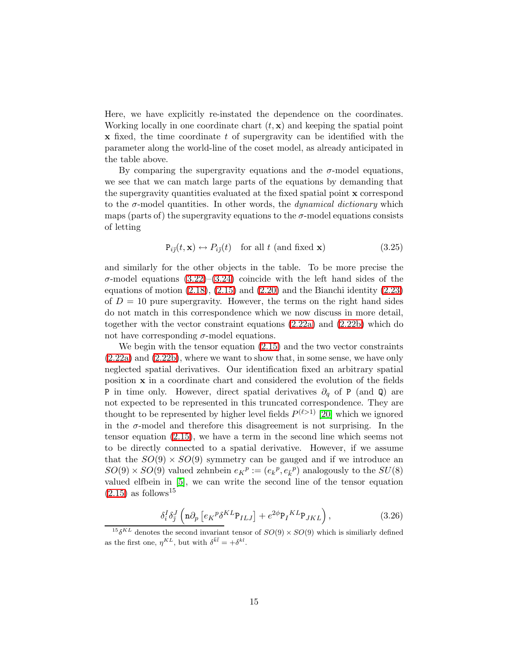Here, we have explicitly re-instated the dependence on the coordinates. Working locally in one coordinate chart  $(t, \mathbf{x})$  and keeping the spatial point  $x$  fixed, the time coordinate  $t$  of supergravity can be identified with the parameter along the world-line of the coset model, as already anticipated in the table above.

By comparing the supergravity equations and the  $\sigma$ -model equations, we see that we can match large parts of the equations by demanding that the supergravity quantities evaluated at the fixed spatial point x correspond to the  $\sigma$ -model quantities. In other words, the *dynamical dictionary* which maps (parts of) the supergravity equations to the  $\sigma$ -model equations consists of letting

$$
P_{i\bar{j}}(t, \mathbf{x}) \leftrightarrow P_{i\bar{j}}(t) \quad \text{for all } t \text{ (and fixed } \mathbf{x}) \tag{3.25}
$$

and similarly for the other objects in the table. To be more precise the σ-model equations [\(3.22\)](#page-13-1)–[\(3.24\)](#page-13-2) coincide with the left hand sides of the equations of motion  $(2.18)$ ,  $(2.15)$  and  $(2.20)$  and the Bianchi identity  $(2.23)$ of  $D = 10$  pure supergravity. However, the terms on the right hand sides do not match in this correspondence which we now discuss in more detail, together with the vector constraint equations [\(2.22a\)](#page-7-4) and [\(2.22b\)](#page-7-4) which do not have corresponding  $\sigma$ -model equations.

We begin with the tensor equation [\(2.15\)](#page-6-1) and the two vector constraints  $(2.22a)$  and  $(2.22b)$ , where we want to show that, in some sense, we have only neglected spatial derivatives. Our identification fixed an arbitrary spatial position x in a coordinate chart and considered the evolution of the fields P in time only. However, direct spatial derivatives  $\partial_q$  of P (and Q) are not expected to be represented in this truncated correspondence. They are thought to be represented by higher level fields  $P^{(\ell>1)}$  [\[20\]](#page-25-7) which we ignored in the  $\sigma$ -model and therefore this disagreement is not surprising. In the tensor equation [\(2.15\)](#page-6-1), we have a term in the second line which seems not to be directly connected to a spatial derivative. However, if we assume that the  $SO(9) \times SO(9)$  symmetry can be gauged and if we introduce an  $SO(9) \times SO(9)$  valued zehnbein  $e_K^p := (e_k^p, e_k^p)$  analogously to the  $SU(8)$ valued elfbein in [\[5\]](#page-24-4), we can write the second line of the tensor equation  $(2.15)$  as follows<sup>15</sup>

$$
\delta_i^I \delta_j^J \left( \mathbf{n} \partial_p \left[ e_K{}^p \delta^{KL} \mathbf{P}_{ILJ} \right] + e^{2\phi} \mathbf{P}_I{}^{KL} \mathbf{P}_{JKL} \right), \tag{3.26}
$$

<sup>&</sup>lt;sup>15</sup> $\delta^{KL}$  denotes the second invariant tensor of  $SO(9) \times SO(9)$  which is similiarly defined as the first one,  $\eta^{KL}$ , but with  $\delta^{\bar{k}\bar{l}} = +\delta^{kl}$ .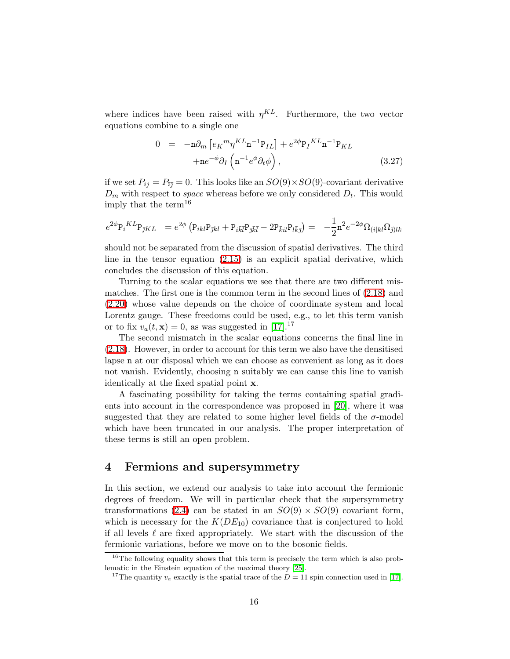where indices have been raised with  $\eta^{KL}$ . Furthermore, the two vector equations combine to a single one

$$
0 = -\mathbf{n}\partial_m \left[ e_K{}^m \eta^{KL} \mathbf{n}^{-1} \mathbf{P}_{IL} \right] + e^{2\phi} \mathbf{P}_I{}^{KL} \mathbf{n}^{-1} \mathbf{P}_{KL} + \mathbf{n} e^{-\phi} \partial_I \left( \mathbf{n}^{-1} e^{\phi} \partial_t \phi \right), \tag{3.27}
$$

if we set  $P_{ij} = P_{\overline{i}\overline{j}} = 0$ . This looks like an  $SO(9) \times SO(9)$ -covariant derivative  $D_m$  with respect to *space* whereas before we only considered  $D_t$ . This would imply that the term<sup>16</sup>

$$
e^{2\phi} P_i{}^{KL} P_{\bar{\jmath}KL} = e^{2\phi} \left( P_{ikl} P_{\bar{\jmath}kl} + P_{i\bar{k}\bar{l}} P_{\bar{\jmath}\bar{k}\bar{l}} - 2P_{\bar{k}il} P_{l\bar{k}\bar{\jmath}} \right) = -\frac{1}{2} n^2 e^{-2\phi} \Omega_{(i|kl} \Omega_{\bar{\jmath})lk}
$$

should not be separated from the discussion of spatial derivatives. The third line in the tensor equation [\(2.15\)](#page-6-1) is an explicit spatial derivative, which concludes the discussion of this equation.

Turning to the scalar equations we see that there are two different mismatches. The first one is the common term in the second lines of [\(2.18\)](#page-6-3) and [\(2.20\)](#page-7-3) whose value depends on the choice of coordinate system and local Lorentz gauge. These freedoms could be used, e.g., to let this term vanish or to fix  $v_a(t, \mathbf{x}) = 0$ , as was suggested in [\[17\]](#page-25-4).<sup>17</sup>

The second mismatch in the scalar equations concerns the final line in [\(2.18\)](#page-6-3). However, in order to account for this term we also have the densitised lapse n at our disposal which we can choose as convenient as long as it does not vanish. Evidently, choosing n suitably we can cause this line to vanish identically at the fixed spatial point x.

A fascinating possibility for taking the terms containing spatial gradients into account in the correspondence was proposed in [\[20\]](#page-25-7), where it was suggested that they are related to some higher level fields of the  $\sigma$ -model which have been truncated in our analysis. The proper interpretation of these terms is still an open problem.

## <span id="page-15-0"></span>4 Fermions and supersymmetry

In this section, we extend our analysis to take into account the fermionic degrees of freedom. We will in particular check that the supersymmetry transformations [\(2.4\)](#page-3-1) can be stated in an  $SO(9) \times SO(9)$  covariant form, which is necessary for the  $K(DE_{10})$  covariance that is conjectured to hold if all levels  $\ell$  are fixed appropriately. We start with the discussion of the fermionic variations, before we move on to the bosonic fields.

<sup>&</sup>lt;sup>16</sup>The following equality shows that this term is precisely the term which is also problematic in the Einstein equation of the maximal theory [\[25\]](#page-25-12).

<sup>&</sup>lt;sup>17</sup>The quantity  $v_a$  exactly is the spatial trace of the  $D = 11$  spin connection used in [\[17\]](#page-25-4).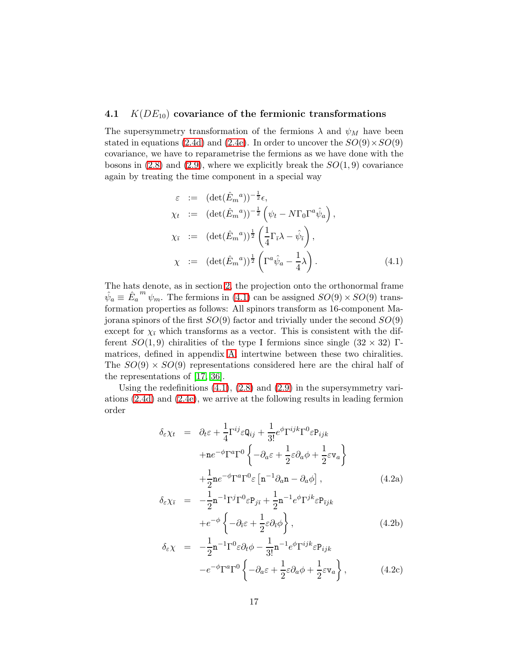### <span id="page-16-3"></span>4.1  $K(DE_{10})$  covariance of the fermionic transformations

The supersymmetry transformation of the fermions  $\lambda$  and  $\psi_M$  have been stated in equations [\(2.4d\)](#page-3-2) and [\(2.4e\)](#page-3-2). In order to uncover the  $SO(9) \times SO(9)$ covariance, we have to reparametrise the fermions as we have done with the bosons in  $(2.8)$  and  $(2.9)$ , where we explicitly break the  $SO(1,9)$  covariance again by treating the time component in a special way

<span id="page-16-0"></span>
$$
\varepsilon := (\det(\hat{E}_m{}^a))^{-\frac{1}{2}} \epsilon,
$$
  
\n
$$
\chi_t := (\det(\hat{E}_m{}^a))^{-\frac{1}{2}} \left( \psi_t - N \Gamma_0 \Gamma^a \hat{\psi}_a \right),
$$
  
\n
$$
\chi_{\bar{\imath}} := (\det(\hat{E}_m{}^a))^{\frac{1}{2}} \left( \frac{1}{4} \Gamma_{\bar{\imath}} \lambda - \hat{\psi}_{\bar{\imath}} \right),
$$
  
\n
$$
\chi := (\det(\hat{E}_m{}^a))^{\frac{1}{2}} \left( \Gamma^a \hat{\psi}_a - \frac{1}{4} \lambda \right).
$$
\n(4.1)

The hats denote, as in section [2,](#page-2-0) the projection onto the orthonormal frame  $\hat{\psi}_a \equiv \hat{E}_a$  $\stackrel{m}{\psi_m}$ . The fermions in [\(4.1\)](#page-16-0) can be assigned  $SO(9) \times SO(9)$  transformation properties as follows: All spinors transform as 16-component Majorana spinors of the first  $SO(9)$  factor and trivially under the second  $SO(9)$ except for  $\chi_{\bar{i}}$  which transforms as a vector. This is consistent with the different  $SO(1,9)$  chiralities of the type I fermions since single  $(32 \times 32)$  Γmatrices, defined in appendix [A,](#page-23-0) intertwine between these two chiralities. The  $SO(9) \times SO(9)$  representations considered here are the chiral half of the representations of [\[17,](#page-25-4) [36\]](#page-26-5).

<span id="page-16-2"></span><span id="page-16-1"></span>Using the redefinitions  $(4.1)$ ,  $(2.8)$  and  $(2.9)$  in the supersymmetry variations [\(2.4d\)](#page-3-2) and [\(2.4e\)](#page-3-2), we arrive at the following results in leading fermion order

$$
\delta_{\varepsilon} \chi_{t} = \partial_{t} \varepsilon + \frac{1}{4} \Gamma^{ij} \varepsilon \mathbb{Q}_{ij} + \frac{1}{3!} e^{\phi} \Gamma^{ijk} \Gamma^{0} \varepsilon \mathbb{P}_{ijk} \n+ n e^{-\phi} \Gamma^{a} \Gamma^{0} \left\{ -\partial_{a} \varepsilon + \frac{1}{2} \varepsilon \partial_{a} \phi + \frac{1}{2} \varepsilon \mathbb{V}_{a} \right\} \n+ \frac{1}{2} n e^{-\phi} \Gamma^{a} \Gamma^{0} \varepsilon \left[ n^{-1} \partial_{a} n - \partial_{a} \phi \right],
$$
\n(4.2a)  
\n
$$
\delta_{\varepsilon} \chi_{\bar{\imath}} = -\frac{1}{2} n^{-1} \Gamma^{j} \Gamma^{0} \varepsilon \mathbb{P}_{j\bar{\imath}} + \frac{1}{2} n^{-1} e^{\phi} \Gamma^{jk} \varepsilon \mathbb{P}_{\bar{\imath}jk}
$$

$$
+e^{-\phi}\left\{-\partial_{\tilde{t}}\varepsilon+\frac{1}{2}\varepsilon\partial_{\tilde{t}}\phi\right\},\tag{4.2b}
$$

$$
\delta_{\varepsilon} \chi = -\frac{1}{2} \mathbf{n}^{-1} \Gamma^{0} \varepsilon \partial_{t} \phi - \frac{1}{3!} \mathbf{n}^{-1} e^{\phi} \Gamma^{ijk} \varepsilon P_{ijk} \n- e^{-\phi} \Gamma^{a} \Gamma^{0} \left\{ -\partial_{a} \varepsilon + \frac{1}{2} \varepsilon \partial_{a} \phi + \frac{1}{2} \varepsilon \mathbf{v}_{a} \right\},
$$
\n(4.2c)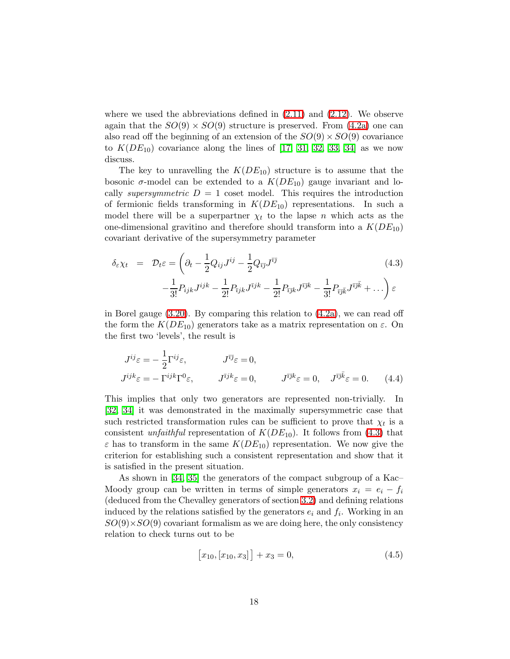where we used the abbreviations defined in  $(2.11)$  and  $(2.12)$ . We observe again that the  $SO(9) \times SO(9)$  structure is preserved. From  $(4.2a)$  one can also read off the beginning of an extension of the  $SO(9) \times SO(9)$  covariance to  $K(DE_{10})$  covariance along the lines of [\[17,](#page-25-4) [31,](#page-26-6) [32,](#page-26-7) [33,](#page-26-8) [34\]](#page-26-9) as we now discuss.

The key to unravelling the  $K(DE_{10})$  structure is to assume that the bosonic  $\sigma$ -model can be extended to a  $K(DE_{10})$  gauge invariant and locally *supersymmetric*  $D = 1$  coset model. This requires the introduction of fermionic fields transforming in  $K(DE_{10})$  representations. In such a model there will be a superpartner  $\chi_t$  to the lapse n which acts as the one-dimensional gravitino and therefore should transform into a  $K(DE_{10})$ covariant derivative of the supersymmetry parameter

<span id="page-17-0"></span>
$$
\delta_{\varepsilon}\chi_t = \mathcal{D}_t \varepsilon = \left(\partial_t - \frac{1}{2}Q_{ij}J^{ij} - \frac{1}{2}Q_{\bar{\imath}\bar{\jmath}}J^{\bar{\imath}\bar{\jmath}} - \frac{1}{3!}P_{ijk}J^{ijk} - \frac{1}{2!}P_{\bar{\imath}\bar{\jmath}k}J^{\bar{\imath}\bar{\jmath}k} - \frac{1}{2!}P_{\bar{\imath}\bar{\jmath}k}J^{\bar{\imath}\bar{\jmath}k} - \frac{1}{3!}P_{\bar{\imath}\bar{\jmath}k}J^{\bar{\imath}\bar{\jmath}k} + \dots\right)\varepsilon
$$
\n(4.3)

in Borel gauge [\(3.20\)](#page-12-0). By comparing this relation to [\(4.2a\)](#page-16-1), we can read off the form the  $K(DE_{10})$  generators take as a matrix representation on  $\varepsilon$ . On the first two 'levels', the result is

<span id="page-17-2"></span>
$$
J^{ij}\varepsilon = -\frac{1}{2}\Gamma^{ij}\varepsilon, \qquad J^{\bar{\imath}j}\varepsilon = 0, J^{ijk}\varepsilon = -\Gamma^{ijk}\Gamma^{0}\varepsilon, \qquad J^{\bar{\imath}jk}\varepsilon = 0, \qquad J^{\bar{\imath}jk}\varepsilon = 0, \qquad J^{\bar{\imath}jk}\varepsilon = 0. \qquad (4.4)
$$

This implies that only two generators are represented non-trivially. In [\[32,](#page-26-7) [34\]](#page-26-9) it was demonstrated in the maximally supersymmetric case that such restricted transformation rules can be sufficient to prove that  $\chi_t$  is a consistent *unfaithful* representation of  $K(DE_{10})$ . It follows from [\(4.3\)](#page-17-0) that  $\varepsilon$  has to transform in the same  $K(DE_{10})$  representation. We now give the criterion for establishing such a consistent representation and show that it is satisfied in the present situation.

As shown in [\[34,](#page-26-9) [35\]](#page-26-10) the generators of the compact subgroup of a Kac– Moody group can be written in terms of simple generators  $x_i = e_i - f_i$ (deduced from the Chevalley generators of section [3.2\)](#page-9-1) and defining relations induced by the relations satisfied by the generators  $e_i$  and  $f_i$ . Working in an  $SO(9)\times SO(9)$  covariant formalism as we are doing here, the only consistency relation to check turns out to be

<span id="page-17-1"></span>
$$
[x_{10}, [x_{10}, x_3]] + x_3 = 0,\t\t(4.5)
$$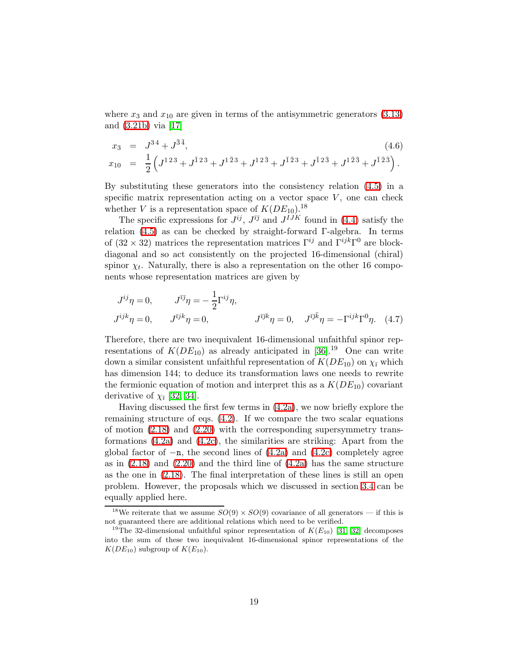where  $x_3$  and  $x_{10}$  are given in terms of the antisymmetric generators [\(3.13\)](#page-10-0) and [\(3.21b\)](#page-12-1) via [\[17\]](#page-25-4)

$$
x_3 = J^{34} + J^{\bar{3}\bar{4}}, \qquad (4.6)
$$
  
\n
$$
x_{10} = \frac{1}{2} \left( J^{123} + J^{\bar{1}23} + J^{1\bar{2}3} + J^{12\bar{3}} + J^{\bar{1}23} + J^{\bar{1}2\bar{3}} + J^{1\bar{2}\bar{3}} + J^{\bar{1}\bar{2}\bar{3}} \right).
$$

By substituting these generators into the consistency relation 
$$
(4.5)
$$
 in a specific matrix representation on a vector space  $V$ , one can check

whether V is a representation space of  $K(DE_{10})$ .<sup>18</sup>

The specific expressions for  $J^{ij}$ ,  $J^{\bar{i}\bar{j}}$  and  $J^{IJK}$  found in [\(4.4\)](#page-17-2) satisfy the relation [\(4.5\)](#page-17-1) as can be checked by straight-forward Γ-algebra. In terms of  $(32 \times 32)$  matrices the representation matrices  $\Gamma^{ij}$  and  $\Gamma^{ijk}\Gamma^0$  are blockdiagonal and so act consistently on the projected 16-dimensional (chiral) spinor  $\chi_t$ . Naturally, there is also a representation on the other 16 components whose representation matrices are given by

$$
J^{ij}\eta = 0, \qquad J^{\bar{i}j}\eta = -\frac{1}{2}\Gamma^{ij}\eta,
$$
  

$$
J^{ijk}\eta = 0, \qquad J^{\bar{i}jk}\eta = 0, \qquad J^{\bar{i}jk}\eta = 0, \qquad J^{\bar{i}jk}\eta = -\Gamma^{ijk}\Gamma^{0}\eta. \tag{4.7}
$$

Therefore, there are two inequivalent 16-dimensional unfaithful spinor representations of  $K(DE_{10})$  as already anticipated in [\[36\]](#page-26-5)<sup>19</sup> One can write down a similar consistent unfaithful representation of  $K(DE_{10})$  on  $\chi_{\bar{\chi}}$  which has dimension 144; to deduce its transformation laws one needs to rewrite the fermionic equation of motion and interpret this as a  $K(DE_{10})$  covariant derivative of  $\chi_{\bar{i}}$  [\[32,](#page-26-7) [34\]](#page-26-9).

Having discussed the first few terms in [\(4.2a\)](#page-16-1), we now briefly explore the remaining structure of eqs. [\(4.2\)](#page-16-2). If we compare the two scalar equations of motion  $(2.18)$  and  $(2.20)$  with the corresponding supersymmetry transformations  $(4.2a)$  and  $(4.2c)$ , the similarities are striking: Apart from the global factor of  $-n$ , the second lines of  $(4.2a)$  and  $(4.2c)$  completely agree as in  $(2.18)$  and  $(2.20)$  and the third line of  $(4.2a)$  has the same structure as the one in [\(2.18\)](#page-6-3). The final interpretation of these lines is still an open problem. However, the proposals which we discussed in section [3.4](#page-13-3) can be equally applied here.

<sup>&</sup>lt;sup>18</sup>We reiterate that we assume  $SO(9) \times SO(9)$  covariance of all generators — if this is not guaranteed there are additional relations which need to be verified.

<sup>&</sup>lt;sup>19</sup>The 32-dimensional unfaithful spinor representation of  $K(E_{10})$  [\[31,](#page-26-6) [32\]](#page-26-7) decomposes into the sum of these two inequivalent 16-dimensional spinor representations of the  $K(DE_{10})$  subgroup of  $K(E_{10})$ .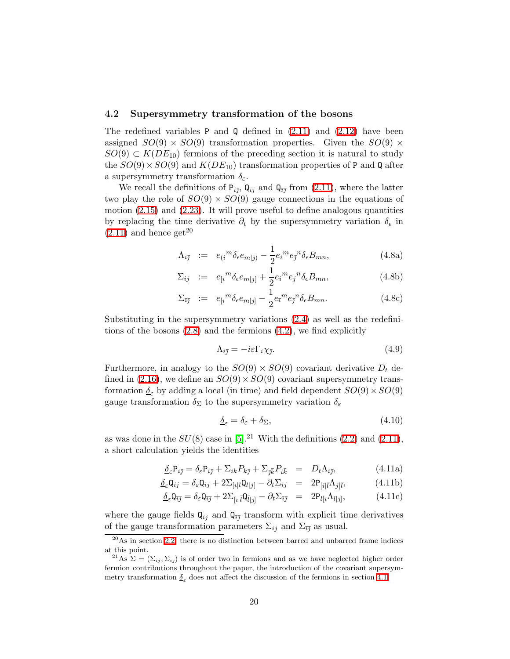#### 4.2 Supersymmetry transformation of the bosons

The redefined variables P and Q defined in  $(2.11)$  and  $(2.12)$  have been assigned  $SO(9) \times SO(9)$  transformation properties. Given the  $SO(9) \times$  $SO(9) \subset K(DE_{10})$  fermions of the preceding section it is natural to study the  $SO(9) \times SO(9)$  and  $K(DE_{10})$  transformation properties of P and Q after a supersymmetry transformation  $\delta_{\epsilon}$ .

We recall the definitions of  $P_{i\bar{j}}$ ,  $Q_{i\bar{j}}$  and  $Q_{\bar{i}\bar{j}}$  from [\(2.11\)](#page-5-0), where the latter two play the role of  $SO(9) \times SO(9)$  gauge connections in the equations of motion [\(2.15\)](#page-6-1) and [\(2.23\)](#page-7-2). It will prove useful to define analogous quantities by replacing the time derivative  $\partial_t$  by the supersymmetry variation  $\delta_{\epsilon}$  in  $(2.11)$  and hence get<sup>20</sup>

$$
\Lambda_{i\bar{j}} := e_{(i}{}^{m} \delta_{\epsilon} e_{m|\bar{j})} - \frac{1}{2} e_{i}{}^{m} e_{\bar{j}}{}^{n} \delta_{\epsilon} B_{mn}, \qquad (4.8a)
$$

$$
\Sigma_{ij} := e_{[i}{}^{m} \delta_{\epsilon} e_{m|j]} + \frac{1}{2} e_i{}^{m} e_j{}^{n} \delta_{\epsilon} B_{mn}, \qquad (4.8b)
$$

$$
\Sigma_{\bar{\imath}\bar{\jmath}} := e_{[\bar{\imath}}{}^m \delta_{\epsilon} e_{m|\bar{\jmath}} - \frac{1}{2} e_{\bar{\imath}}{}^m e_{\bar{\jmath}}{}^n \delta_{\epsilon} B_{mn}.
$$
\n(4.8c)

Substituting in the supersymmetry variations [\(2.4\)](#page-3-1) as well as the redefinitions of the bosons [\(2.8\)](#page-4-5) and the fermions [\(4.2\)](#page-16-2), we find explicitly

$$
\Lambda_{i\bar{j}} = -i\varepsilon \Gamma_i \chi_{\bar{j}}.\tag{4.9}
$$

<span id="page-19-1"></span>Furthermore, in analogy to the  $SO(9) \times SO(9)$  covariant derivative  $D_t$  de-fined in [\(2.16\)](#page-6-2), we define an  $SO(9) \times SO(9)$  covariant supersymmetry transformation  $\delta$  by adding a local (in time) and field dependent  $SO(9) \times SO(9)$ gauge transformation  $\delta_{\Sigma}$  to the supersymmetry variation  $\delta_{\varepsilon}$ 

<span id="page-19-0"></span>
$$
\underline{\delta}_{\varepsilon} = \delta_{\varepsilon} + \delta_{\Sigma},\tag{4.10}
$$

as was done in the  $SU(8)$  case in [\[5\]](#page-24-4).<sup>21</sup> With the definitions [\(2.2\)](#page-3-0) and [\(2.11\)](#page-5-0), a short calculation yields the identities

$$
\underline{\delta}_{\varepsilon} P_{i\bar{j}} = \delta_{\varepsilon} P_{i\bar{j}} + \Sigma_{ik} P_{k\bar{j}} + \Sigma_{\bar{j}\bar{k}} P_{i\bar{k}} = D_t \Lambda_{i\bar{j}}, \tag{4.11a}
$$

$$
\underline{\delta}_{\varepsilon} \mathbf{Q}_{ij} = \delta_{\varepsilon} \mathbf{Q}_{ij} + 2 \Sigma_{[i|l} \mathbf{Q}_{l|j]} - \partial_t \Sigma_{ij} = 2 \mathbf{P}_{[i|\bar{l}} \Lambda_{j|\bar{l}}, \tag{4.11b}
$$

$$
\underline{\delta}_{\varepsilon} \mathbf{Q}_{\bar{\imath}\bar{\jmath}} = \delta_{\varepsilon} \mathbf{Q}_{\bar{\imath}\bar{\jmath}} + 2 \Sigma_{\left[\bar{\imath}\right]} \bar{\mathbf{Q}}_{\bar{\imath}\left|\bar{\jmath}\right|} - \partial_t \Sigma_{\bar{\imath}\bar{\jmath}} = 2\mathbf{P}_{l\left[\bar{\imath}} \Lambda_{l\left|\bar{\jmath}\right|},\n\tag{4.11c}
$$

where the gauge fields  $\mathbf{Q}_{ij}$  and  $\mathbf{Q}_{\bar{i}\bar{j}}$  transform with explicit time derivatives of the gauge transformation parameters  $\Sigma_{ij}$  and  $\Sigma_{\bar{i}\bar{j}}$  as usual.

 $^{20}\text{As}$  in section [2.2,](#page-4-0) there is no distinction between barred and unbarred frame indices at this point.

<sup>&</sup>lt;sup>21</sup>As  $\Sigma = (\Sigma_{ij}, \Sigma_{\bar{i}\bar{j}})$  is of order two in fermions and as we have neglected higher order fermion contributions throughout the paper, the introduction of the covariant supersymmetry transformation  $\delta_{\varepsilon}$  does not affect the discussion of the fermions in section [4.1.](#page-16-3)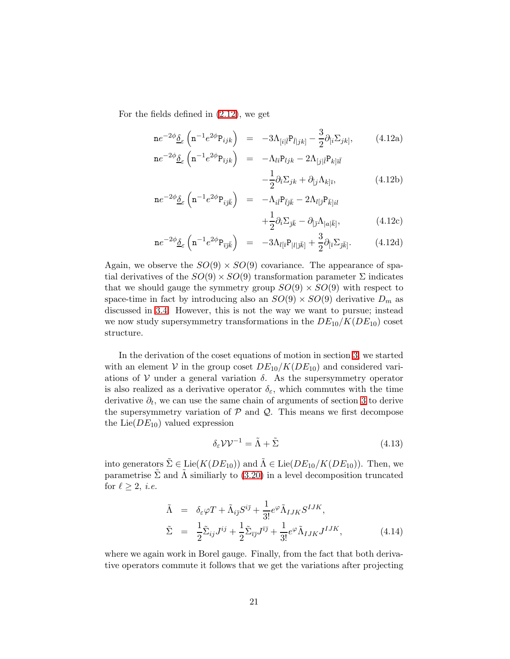For the fields defined in [\(2.12\)](#page-5-1), we get

<span id="page-20-1"></span>
$$
n e^{-2\phi} \underline{\delta}_{\varepsilon} \left( n^{-1} e^{2\phi} P_{ijk} \right) = -3\Lambda_{[i|\bar{l}} P_{\bar{l}|jk]} - \frac{3}{2} \partial_{[i} \Sigma_{jk]}, \qquad (4.12a)
$$
  
\n
$$
n e^{-2\phi} \underline{\delta}_{\varepsilon} \left( n^{-1} e^{2\phi} P_{\bar{\imath}jk} \right) = -\Lambda_{l\bar{\imath}} P_{ljk} - 2\Lambda_{[j|\bar{l}} P_{k|\bar{l}\bar{l}} - \frac{1}{2} \partial_{\bar{\imath}} \Sigma_{jk} + \partial_{[j} \Lambda_{k|\bar{\imath}}, \qquad (4.12b)
$$

$$
n e^{-2\phi} \underline{\delta}_{\varepsilon} \left( n^{-1} e^{2\phi} P_{i\bar{j}\bar{k}} \right) = -\Lambda_{i\bar{l}} P_{\bar{l}j\bar{k}} - 2\Lambda_{l[\bar{j}} P_{\bar{k}]}i l + \frac{1}{2} \partial_i \Sigma_{\bar{j}\bar{k}} - \partial_{[\bar{j}} \Lambda_{|a|\bar{k}]}, \tag{4.12c}
$$

$$
n e^{-2\phi} \underline{\delta}_{\varepsilon} \left( n^{-1} e^{2\phi} P_{\bar{\imath} \bar{\jmath} \bar{k}} \right) = -3\Lambda_{l[\bar{\imath}} P_{|l|\bar{\jmath} \bar{k}]} + \frac{3}{2} \partial_{[\bar{\imath}} \Sigma_{\bar{\jmath} \bar{k}]}.
$$
 (4.12d)

Again, we observe the  $SO(9) \times SO(9)$  covariance. The appearance of spatial derivatives of the  $SO(9) \times SO(9)$  transformation parameter  $\Sigma$  indicates that we should gauge the symmetry group  $SO(9) \times SO(9)$  with respect to space-time in fact by introducing also an  $SO(9) \times SO(9)$  derivative  $D_m$  as discussed in [3.4.](#page-13-3) However, this is not the way we want to pursue; instead we now study supersymmetry transformations in the  $DE_{10}/K(DE_{10})$  coset structure.

In the derivation of the coset equations of motion in section [3,](#page-8-0) we started with an element V in the group coset  $DE_{10}/K(DE_{10})$  and considered variations of V under a general variation  $\delta$ . As the supersymmetry operator is also realized as a derivative operator  $\delta_{\varepsilon}$ , which commutes with the time derivative  $\partial_t$ , we can use the same chain of arguments of section [3](#page-8-0) to derive the supersymmetry variation of  $P$  and  $Q$ . This means we first decompose the Lie( $DE_{10}$ ) valued expression

$$
\delta_{\varepsilon} \mathcal{V} \mathcal{V}^{-1} = \tilde{\Lambda} + \tilde{\Sigma} \tag{4.13}
$$

into generators  $\tilde{\Sigma} \in \text{Lie}(K(DE_{10}))$  and  $\tilde{\Lambda} \in \text{Lie}(DE_{10}/K(DE_{10}))$ . Then, we parametrise  $\Sigma$  and  $\Lambda$  similiarly to [\(3.20\)](#page-12-0) in a level decomposition truncated for  $\ell \geq 2$ , *i.e.* 

$$
\tilde{\Lambda} = \delta_{\varepsilon} \varphi T + \tilde{\Lambda}_{i\bar{j}} S^{i\bar{j}} + \frac{1}{3!} e^{\varphi} \tilde{\Lambda}_{IJK} S^{IJK},
$$
\n
$$
\tilde{\Sigma} = \frac{1}{2} \tilde{\Sigma}_{ij} J^{ij} + \frac{1}{2} \tilde{\Sigma}_{\bar{i}\bar{j}} J^{\bar{i}\bar{j}} + \frac{1}{3!} e^{\varphi} \tilde{\Lambda}_{IJK} J^{IJK},
$$
\n(4.14)

<span id="page-20-0"></span>where we again work in Borel gauge. Finally, from the fact that both derivative operators commute it follows that we get the variations after projecting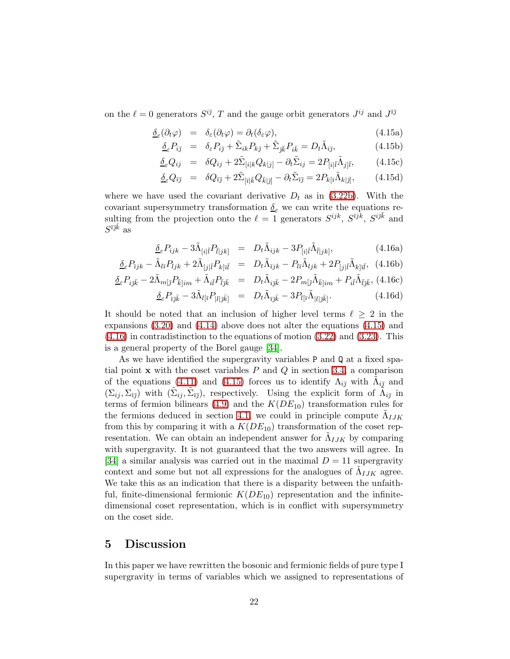on the  $\ell = 0$  generators  $S^{i\bar{j}}$ , T and the gauge orbit generators  $J^{ij}$  and  $J^{\bar{i}\bar{j}}$ 

$$
\underline{\delta}_{\varepsilon}(\partial_t \varphi) = \delta_{\varepsilon}(\partial_t \varphi) = \partial_t(\delta_{\varepsilon} \varphi), \tag{4.15a}
$$

<span id="page-21-1"></span>
$$
\underline{\delta}_{\varepsilon} P_{i\bar{j}} = \delta_{\varepsilon} P_{i\bar{j}} + \tilde{\Sigma}_{ik} P_{k\bar{j}} + \tilde{\Sigma}_{j\bar{k}} P_{i\bar{k}} = D_t \tilde{\Lambda}_{i\bar{j}}, \tag{4.15b}
$$

$$
\underline{\delta}_{\varepsilon} Q_{ij} = \delta Q_{ij} + 2 \tilde{\Sigma}_{[i|k} Q_{k|j]} - \partial_t \tilde{\Sigma}_{ij} = 2 P_{[i|\bar{l}} \tilde{\Lambda}_{j|\bar{l}}, \tag{4.15c}
$$

$$
\underline{\delta}_{\varepsilon} Q_{\bar{\imath}\bar{\jmath}} = \delta Q_{\bar{\imath}\bar{\jmath}} + 2\tilde{\Sigma}_{[\bar{\imath}]\bar{k}} Q_{\bar{k}|\bar{\jmath}]} - \partial_t \tilde{\Sigma}_{\bar{\imath}\bar{\jmath}} = 2P_{k[\bar{\imath}} \tilde{\Lambda}_{k|\bar{\jmath}]}, \tag{4.15d}
$$

<span id="page-21-2"></span>where we have used the covariant derivative  $D_t$  as in [\(3.22b\)](#page-13-4). With the covariant supersymmetry transformation  $\delta_{\varepsilon}$  we can write the equations resulting from the projection onto the  $\ell = \overline{1}$  generators  $S^{ijk}$ ,  $S^{i\overline{j}\overline{k}}$ ,  $S^{i\overline{j}\overline{k}}$  and  $S^{\bar{\imath}\bar{\jmath}\bar{k}}$  as

$$
\underline{\delta}_{\varepsilon} P_{ijk} - 3\tilde{\Lambda}_{[i|\bar{l}} P_{\bar{l}|jk}] = D_t \tilde{\Lambda}_{ijk} - 3P_{[i|\bar{l}} \tilde{\Lambda}_{\bar{l}|jk]}, \tag{4.16a}
$$

$$
\underline{\delta}_{\varepsilon} P_{\bar{\imath}jk} - \tilde{\Lambda}_{l\bar{\imath}} P_{ljk} + 2\tilde{\Lambda}_{[j\bar{l}} P_{k]\bar{\imath}\bar{l}} = D_t \tilde{\Lambda}_{\bar{\imath}jk} - P_{l\bar{\imath}} \tilde{\Lambda}_{ljk} + 2P_{[j\bar{l}} \tilde{\Lambda}_{k]\bar{\imath}\bar{l}}, \tag{4.16b}
$$

$$
\underline{\delta}_{\varepsilon} P_{i\bar{\jmath}\bar{k}} - 2\tilde{\Lambda}_{m[\bar{\jmath}} P_{\bar{k}]\bar{\imath}m} + \tilde{\Lambda}_{i\bar{l}} P_{\bar{l}\bar{\jmath}\bar{k}} \quad = \quad D_t \tilde{\Lambda}_{i\bar{\jmath}\bar{k}} - 2 P_{m[\bar{\jmath}} \tilde{\Lambda}_{\bar{k}]\bar{\imath}m} + P_{i\bar{l}} \tilde{\Lambda}_{\bar{l}\bar{\jmath}\bar{k}}, \ (4.16c)
$$

$$
\underline{\delta}_{\varepsilon} P_{\bar{\imath}\bar{\jmath}\bar{k}} - 3\tilde{\Lambda}_{l[\bar{\imath}} P_{|l|\bar{\jmath}\bar{k}]} \quad = \quad D_t \tilde{\Lambda}_{\bar{\imath}\bar{\jmath}\bar{k}} - 3P_{l[\bar{\imath}} \tilde{\Lambda}_{|l|\bar{\jmath}\bar{k}]}.
$$
\n
$$
\tag{4.16d}
$$

It should be noted that an inclusion of higher level terms  $\ell \geq 2$  in the expansions  $(3.20)$  and  $(4.14)$  above does not alter the equations  $(4.15)$  and  $(4.16)$  in contradistinction to the equations of motion  $(3.22)$  and  $(3.23)$ . This is a general property of the Borel gauge [\[34\]](#page-26-9).

As we have identified the supergravity variables P and Q at a fixed spatial point  $x$  with the coset variables  $P$  and  $Q$  in section [3.4,](#page-13-3) a comparison of the equations [\(4.11\)](#page-19-0) and [\(4.15\)](#page-21-1) forces us to identify  $\Lambda_{i\bar{\jmath}}$  with  $\tilde{\Lambda}_{i\bar{\jmath}}$  and  $(\Sigma_{ij}, \Sigma_{\bar{i}\bar{j}})$  with  $(\tilde{\Sigma}_{ij}, \tilde{\Sigma}_{\bar{i}\bar{j}})$ , respectively. Using the explicit form of  $\tilde{\Lambda}_{i\bar{j}}$  in terms of fermion bilinears [\(4.9\)](#page-19-1) and the  $K(DE_{10})$  transformation rules for the fermions deduced in section [4.1,](#page-16-3) we could in principle compute  $\tilde{\Lambda}_{IJK}$ from this by comparing it with a  $K(DE_{10})$  transformation of the coset representation. We can obtain an independent answer for  $\tilde{\Lambda}_{IJK}$  by comparing with supergravity. It is not guaranteed that the two answers will agree. In [\[34\]](#page-26-9) a similar analysis was carried out in the maximal  $D = 11$  supergravity context and some but not all expressions for the analogues of  $\tilde{\Lambda}_{IJK}$  agree. We take this as an indication that there is a disparity between the unfaithful, finite-dimensional fermionic  $K(DE_{10})$  representation and the infinitedimensional coset representation, which is in conflict with supersymmetry on the coset side.

### <span id="page-21-0"></span>5 Discussion

In this paper we have rewritten the bosonic and fermionic fields of pure type I supergravity in terms of variables which we assigned to representations of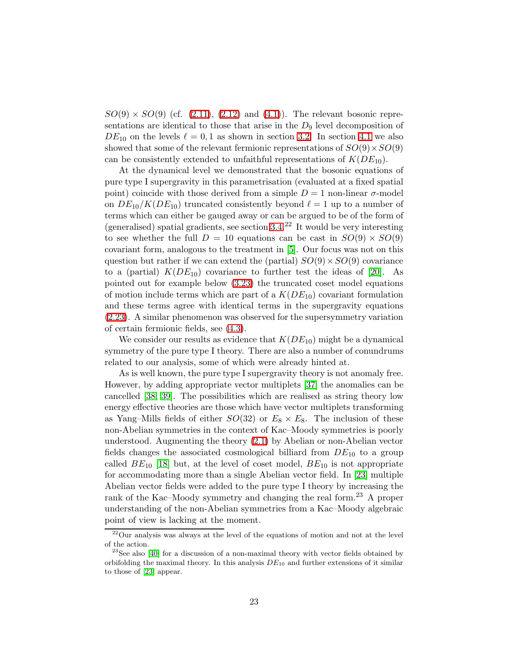$SO(9) \times SO(9)$  (cf. [\(2.11\)](#page-5-0), [\(2.12\)](#page-5-1) and [\(4.1\)](#page-16-0)). The relevant bosonic representations are identical to those that arise in the  $D_9$  level decomposition of  $DE_{10}$  on the levels  $\ell = 0, 1$  as shown in section [3.2.](#page-9-1) In section [4.1](#page-16-3) we also showed that some of the relevant fermionic representations of  $SO(9) \times SO(9)$ can be consistently extended to unfaithful representations of  $K(DE_{10})$ .

At the dynamical level we demonstrated that the bosonic equations of pure type I supergravity in this parametrisation (evaluated at a fixed spatial point) coincide with those derived from a simple  $D = 1$  non-linear  $\sigma$ -model on  $DE_{10}/K(DE_{10})$  truncated consistently beyond  $\ell = 1$  up to a number of terms which can either be gauged away or can be argued to be of the form of (generalised) spatial gradients, see section  $3.4<sup>22</sup>$  It would be very interesting to see whether the full  $D = 10$  equations can be cast in  $SO(9) \times SO(9)$ covariant form, analogous to the treatment in [\[5\]](#page-24-4). Our focus was not on this question but rather if we can extend the (partial)  $SO(9) \times SO(9)$  covariance to a (partial)  $K(DE_{10})$  covariance to further test the ideas of [\[20\]](#page-25-7). As pointed out for example below [\(3.23\)](#page-13-0) the truncated coset model equations of motion include terms which are part of a  $K(DE_{10})$  covariant formulation and these terms agree with identical terms in the supergravity equations [\(2.23\)](#page-7-2). A similar phenomenon was observed for the supersymmetry variation of certain fermionic fields, see [\(4.3\)](#page-17-0).

We consider our results as evidence that  $K(DE_{10})$  might be a dynamical symmetry of the pure type I theory. There are also a number of conundrums related to our analysis, some of which were already hinted at.

As is well known, the pure type I supergravity theory is not anomaly free. However, by adding appropriate vector multiplets [\[37\]](#page-26-11) the anomalies can be cancelled [\[38,](#page-26-12) [39\]](#page-26-13). The possibilities which are realised as string theory low energy effective theories are those which have vector multiplets transforming as Yang–Mills fields of either  $SO(32)$  or  $E_8 \times E_8$ . The inclusion of these non-Abelian symmetries in the context of Kac–Moody symmetries is poorly understood. Augmenting the theory [\(2.1\)](#page-2-1) by Abelian or non-Abelian vector fields changes the associated cosmological billiard from  $DE_{10}$  to a group called  $BE_{10}$  [\[18\]](#page-25-5) but, at the level of coset model,  $BE_{10}$  is not appropriate for accommodating more than a single Abelian vector field. In [\[23\]](#page-25-10) multiple Abelian vector fields were added to the pure type I theory by increasing the rank of the Kac–Moody symmetry and changing the real form.<sup>23</sup> A proper understanding of the non-Abelian symmetries from a Kac–Moody algebraic point of view is lacking at the moment.

<sup>22</sup>Our analysis was always at the level of the equations of motion and not at the level of the action.

 $23$ See also [\[40\]](#page-27-0) for a discussion of a non-maximal theory with vector fields obtained by orbifolding the maximal theory. In this analysis  $DE_{10}$  and further extensions of it similar to those of [\[23\]](#page-25-10) appear.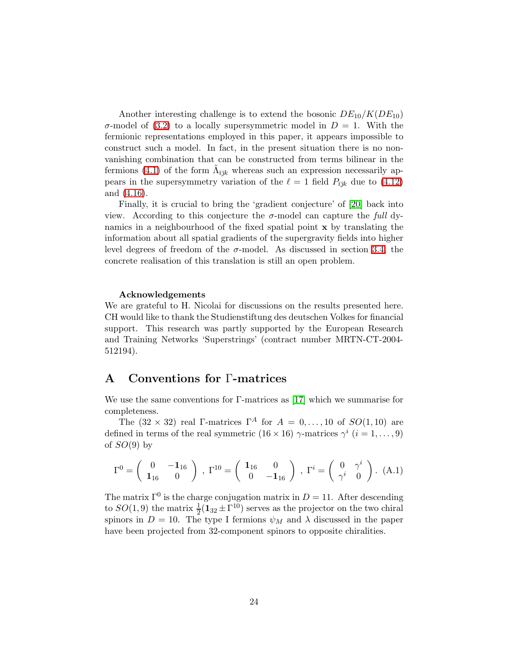Another interesting challenge is to extend the bosonic  $DE_{10}/K(DE_{10})$ σ-model of [\(3.2\)](#page-8-1) to a locally supersymmetric model in  $D = 1$ . With the fermionic representations employed in this paper, it appears impossible to construct such a model. In fact, in the present situation there is no nonvanishing combination that can be constructed from terms bilinear in the fermions [\(4.1\)](#page-16-0) of the form  $\tilde{\Lambda}_{\bar{\imath} \bar{\jmath} k}$  whereas such an expression necessarily appears in the supersymmetry variation of the  $\ell = 1$  field  $P_{\bar{i}jk}$  due to [\(4.12\)](#page-20-1) and [\(4.16\)](#page-21-2).

Finally, it is crucial to bring the 'gradient conjecture' of [\[20\]](#page-25-7) back into view. According to this conjecture the  $\sigma$ -model can capture the full dynamics in a neighbourhood of the fixed spatial point x by translating the information about all spatial gradients of the supergravity fields into higher level degrees of freedom of the  $\sigma$ -model. As discussed in section [3.4,](#page-13-3) the concrete realisation of this translation is still an open problem.

#### Acknowledgements

We are grateful to H. Nicolai for discussions on the results presented here. CH would like to thank the Studienstiftung des deutschen Volkes for financial support. This research was partly supported by the European Research and Training Networks 'Superstrings' (contract number MRTN-CT-2004- 512194).

# <span id="page-23-0"></span>A Conventions for Γ-matrices

We use the same conventions for  $\Gamma$ -matrices as [\[17\]](#page-25-4) which we summarise for completeness.

The  $(32 \times 32)$  real Γ-matrices Γ<sup>A</sup> for  $A = 0, \ldots, 10$  of  $SO(1, 10)$  are defined in terms of the real symmetric  $(16 \times 16)$   $\gamma$ -matrices  $\gamma^i$   $(i = 1, \ldots, 9)$ of  $SO(9)$  by

$$
\Gamma^{0} = \begin{pmatrix} 0 & -\mathbf{1}_{16} \\ \mathbf{1}_{16} & 0 \end{pmatrix}, \ \Gamma^{10} = \begin{pmatrix} \mathbf{1}_{16} & 0 \\ 0 & -\mathbf{1}_{16} \end{pmatrix}, \ \Gamma^{i} = \begin{pmatrix} 0 & \gamma^{i} \\ \gamma^{i} & 0 \end{pmatrix}. \ (A.1)
$$

The matrix  $\Gamma^0$  is the charge conjugation matrix in  $D = 11$ . After descending to  $SO(1,9)$  the matrix  $\frac{1}{2}(\mathbf{1}_{32} \pm \Gamma^{10})$  serves as the projector on the two chiral spinors in  $D = 10$ . The type I fermions  $\psi_M$  and  $\lambda$  discussed in the paper have been projected from 32-component spinors to opposite chiralities.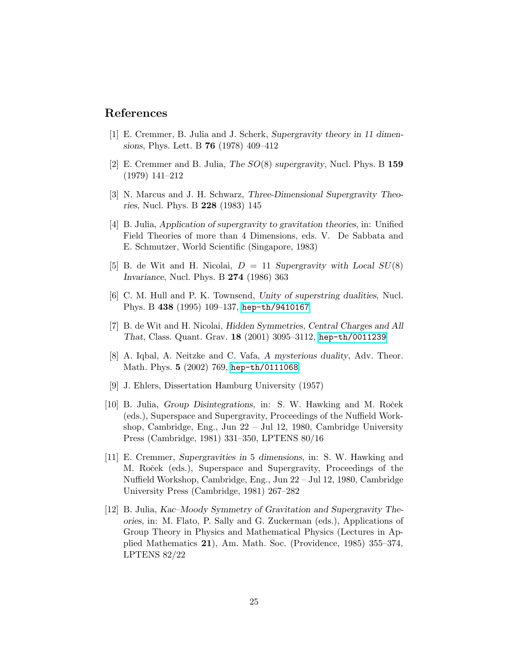### <span id="page-24-0"></span>References

- <span id="page-24-1"></span>[1] E. Cremmer, B. Julia and J. Scherk, Supergravity theory in 11 dimensions, Phys. Lett. B 76 (1978) 409–412
- <span id="page-24-2"></span>[2] E. Cremmer and B. Julia, The  $SO(8)$  supergravity, Nucl. Phys. B 159 (1979) 141–212
- <span id="page-24-3"></span>[3] N. Marcus and J. H. Schwarz, Three-Dimensional Supergravity Theories, Nucl. Phys. B 228 (1983) 145
- [4] B. Julia, Application of supergravity to gravitation theories, in: Unified Field Theories of more than 4 Dimensions, eds. V. De Sabbata and E. Schmutzer, World Scientific (Singapore, 1983)
- <span id="page-24-4"></span>[5] B. de Wit and H. Nicolai,  $D = 11$  Supergravity with Local  $SU(8)$ Invariance, Nucl. Phys. B 274 (1986) 363
- <span id="page-24-6"></span><span id="page-24-5"></span>[6] C. M. Hull and P. K. Townsend, Unity of superstring dualities, Nucl. Phys. B 438 (1995) 109–137, [hep-th/9410167](http://arxiv.org/abs/hep-th/9410167)
- [7] B. de Wit and H. Nicolai, Hidden Symmetries, Central Charges and All That, Class. Quant. Grav. 18 (2001) 3095–3112, [hep-th/0011239](http://arxiv.org/abs/hep-th/0011239)
- <span id="page-24-7"></span>[8] A. Iqbal, A. Neitzke and C. Vafa, A mysterious duality, Adv. Theor. Math. Phys. 5 (2002) 769, [hep-th/0111068](http://arxiv.org/abs/hep-th/0111068)
- <span id="page-24-8"></span>[9] J. Ehlers, Dissertation Hamburg University (1957)
- <span id="page-24-9"></span>[10] B. Julia, Group Disintegrations, in: S. W. Hawking and M. Roček (eds.), Superspace and Supergravity, Proceedings of the Nuffield Workshop, Cambridge, Eng., Jun 22 – Jul 12, 1980, Cambridge University Press (Cambridge, 1981) 331–350, LPTENS 80/16
- <span id="page-24-10"></span>[11] E. Cremmer, Supergravities in 5 dimensions, in: S. W. Hawking and M. Roček (eds.), Superspace and Supergravity, Proceedings of the Nuffield Workshop, Cambridge, Eng., Jun 22 – Jul 12, 1980, Cambridge University Press (Cambridge, 1981) 267–282
- <span id="page-24-11"></span>[12] B. Julia, Kac–Moody Symmetry of Gravitation and Supergravity Theories, in: M. Flato, P. Sally and G. Zuckerman (eds.), Applications of Group Theory in Physics and Mathematical Physics (Lectures in Applied Mathematics 21), Am. Math. Soc. (Providence, 1985) 355–374, LPTENS 82/22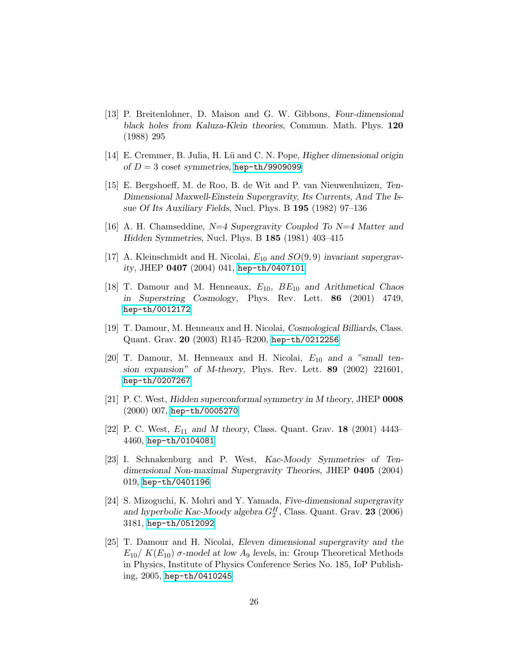- <span id="page-25-0"></span>[13] P. Breitenlohner, D. Maison and G. W. Gibbons, Four-dimensional black holes from Kaluza-Klein theories, Commun. Math. Phys. 120 (1988) 295
- <span id="page-25-2"></span><span id="page-25-1"></span>[14] E. Cremmer, B. Julia, H. Lü and C. N. Pope, Higher dimensional origin of  $D = 3$  coset symmetries, [hep-th/9909099](http://arxiv.org/abs/hep-th/9909099)
- [15] E. Bergshoeff, M. de Roo, B. de Wit and P. van Nieuwenhuizen, Ten-Dimensional Maxwell-Einstein Supergravity, Its Currents, And The Issue Of Its Auxiliary Fields, Nucl. Phys. B 195 (1982) 97–136
- <span id="page-25-3"></span>[16] A. H. Chamseddine,  $N=4$  Supergravity Coupled To  $N=4$  Matter and Hidden Symmetries, Nucl. Phys. B 185 (1981) 403–415
- <span id="page-25-5"></span><span id="page-25-4"></span>[17] A. Kleinschmidt and H. Nicolai,  $E_{10}$  and  $SO(9,9)$  invariant supergravity, JHEP 0407 (2004) 041, [hep-th/0407101](http://arxiv.org/abs/hep-th/0407101)
- [18] T. Damour and M. Henneaux,  $E_{10}$ ,  $BE_{10}$  and Arithmetical Chaos in Superstring Cosmology, Phys. Rev. Lett. 86 (2001) 4749, [hep-th/0012172](http://arxiv.org/abs/hep-th/0012172)
- <span id="page-25-7"></span><span id="page-25-6"></span>[19] T. Damour, M. Henneaux and H. Nicolai, Cosmological Billiards, Class. Quant. Grav. 20 (2003) R145–R200, [hep-th/0212256](http://arxiv.org/abs/hep-th/0212256)
- [20] T. Damour, M. Henneaux and H. Nicolai,  $E_{10}$  and a "small tension expansion" of M-theory, Phys. Rev. Lett. 89 (2002) 221601, [hep-th/0207267](http://arxiv.org/abs/hep-th/0207267)
- <span id="page-25-8"></span>[21] P. C. West, Hidden superconformal symmetry in M theory, JHEP 0008 (2000) 007, [hep-th/0005270](http://arxiv.org/abs/hep-th/0005270)
- <span id="page-25-10"></span><span id="page-25-9"></span>[22] P. C. West,  $E_{11}$  and M theory, Class. Quant. Grav. **18** (2001) 4443– 4460, [hep-th/0104081](http://arxiv.org/abs/hep-th/0104081)
- [23] I. Schnakenburg and P. West, Kac-Moody Symmetries of Tendimensional Non-maximal Supergravity Theories, JHEP 0405 (2004) 019, [hep-th/0401196](http://arxiv.org/abs/hep-th/0401196)
- <span id="page-25-11"></span>[24] S. Mizoguchi, K. Mohri and Y. Yamada, Five-dimensional supergravity and hyperbolic Kac-Moody algebra  $G_2^H$ , Class. Quant. Grav. **23** (2006) 3181, [hep-th/0512092](http://arxiv.org/abs/hep-th/0512092)
- <span id="page-25-12"></span>[25] T. Damour and H. Nicolai, Eleven dimensional supergravity and the  $E_{10}/K(E_{10})$  σ-model at low A<sub>9</sub> levels, in: Group Theoretical Methods in Physics, Institute of Physics Conference Series No. 185, IoP Publishing, 2005, [hep-th/0410245](http://arxiv.org/abs/hep-th/0410245)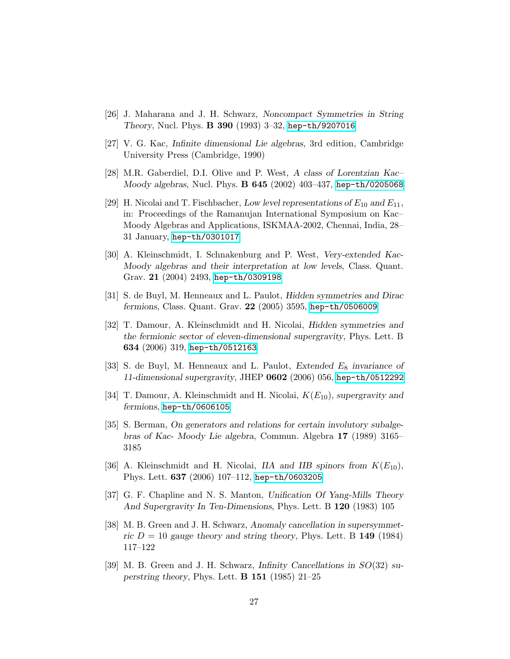- <span id="page-26-0"></span>[26] J. Maharana and J. H. Schwarz, Noncompact Symmetries in String Theory, Nucl. Phys. B 390 (1993) 3–32, [hep-th/9207016](http://arxiv.org/abs/hep-th/9207016)
- <span id="page-26-2"></span><span id="page-26-1"></span>[27] V. G. Kac, Infinite dimensional Lie algebras, 3rd edition, Cambridge University Press (Cambridge, 1990)
- <span id="page-26-3"></span>[28] M.R. Gaberdiel, D.I. Olive and P. West, A class of Lorentzian Kac– Moody algebras, Nucl. Phys. B 645 (2002) 403–437, [hep-th/0205068](http://arxiv.org/abs/hep-th/0205068)
- [29] H. Nicolai and T. Fischbacher, Low level representations of  $E_{10}$  and  $E_{11}$ , in: Proceedings of the Ramanujan International Symposium on Kac– Moody Algebras and Applications, ISKMAA-2002, Chennai, India, 28– 31 January, [hep-th/0301017](http://arxiv.org/abs/hep-th/0301017)
- <span id="page-26-4"></span>[30] A. Kleinschmidt, I. Schnakenburg and P. West, Very-extended Kac-Moody algebras and their interpretation at low levels, Class. Quant. Grav. 21 (2004) 2493, [hep-th/0309198](http://arxiv.org/abs/hep-th/0309198)
- <span id="page-26-6"></span>[31] S. de Buyl, M. Henneaux and L. Paulot, Hidden symmetries and Dirac fermions, Class. Quant. Grav. 22 (2005) 3595, [hep-th/0506009](http://arxiv.org/abs/hep-th/0506009)
- <span id="page-26-7"></span>[32] T. Damour, A. Kleinschmidt and H. Nicolai, Hidden symmetries and the fermionic sector of eleven-dimensional supergravity, Phys. Lett. B 634 (2006) 319, [hep-th/0512163](http://arxiv.org/abs/hep-th/0512163)
- <span id="page-26-8"></span>[33] S. de Buyl, M. Henneaux and L. Paulot, Extended  $E_8$  invariance of 11-dimensional supergravity, JHEP 0602 (2006) 056, [hep-th/0512292](http://arxiv.org/abs/hep-th/0512292)
- <span id="page-26-10"></span><span id="page-26-9"></span>[34] T. Damour, A. Kleinschmidt and H. Nicolai,  $K(E_{10})$ , supergravity and fermions, [hep-th/0606105](http://arxiv.org/abs/hep-th/0606105)
- [35] S. Berman, On generators and relations for certain involutory subalgebras of Kac- Moody Lie algebra, Commun. Algebra 17 (1989) 3165– 3185
- <span id="page-26-5"></span>[36] A. Kleinschmidt and H. Nicolai, IIA and IIB spinors from  $K(E_{10})$ , Phys. Lett. 637 (2006) 107–112, [hep-th/0603205](http://arxiv.org/abs/hep-th/0603205)
- <span id="page-26-12"></span><span id="page-26-11"></span>[37] G. F. Chapline and N. S. Manton, Unification Of Yang-Mills Theory And Supergravity In Ten-Dimensions, Phys. Lett. B 120 (1983) 105
- [38] M. B. Green and J. H. Schwarz, Anomaly cancellation in supersymmetric  $D = 10$  gauge theory and string theory, Phys. Lett. B 149 (1984) 117–122
- <span id="page-26-13"></span>[39] M. B. Green and J. H. Schwarz, Infinity Cancellations in SO(32) superstring theory, Phys. Lett.  $\bf{B}$  151 (1985) 21–25